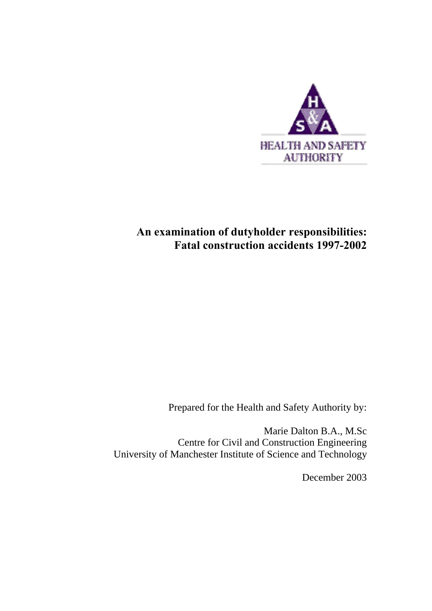

# **An examination of dutyholder responsibilities: Fatal construction accidents 1997-2002**

Prepared for the Health and Safety Authority by:

Marie Dalton B.A., M.Sc Centre for Civil and Construction Engineering University of Manchester Institute of Science and Technology

December 2003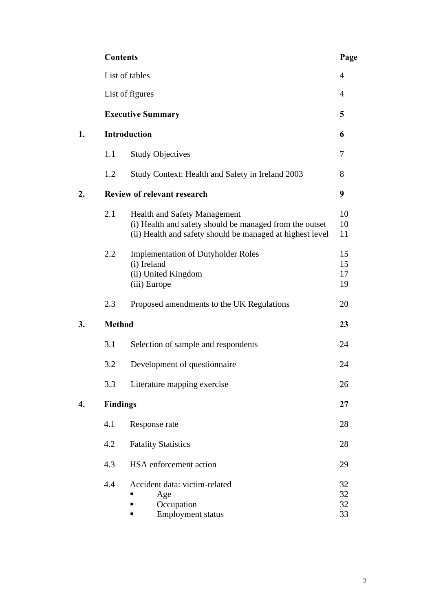|    | <b>Contents</b> |                                                                                                                                                      | Page                 |
|----|-----------------|------------------------------------------------------------------------------------------------------------------------------------------------------|----------------------|
|    |                 | List of tables                                                                                                                                       | $\overline{4}$       |
|    |                 | List of figures                                                                                                                                      | $\overline{4}$       |
|    |                 | <b>Executive Summary</b>                                                                                                                             | 5                    |
| 1. |                 | <b>Introduction</b>                                                                                                                                  | 6                    |
|    | 1.1             | <b>Study Objectives</b>                                                                                                                              | 7                    |
|    | 1.2             | Study Context: Health and Safety in Ireland 2003                                                                                                     | 8                    |
| 2. |                 | <b>Review of relevant research</b>                                                                                                                   | 9                    |
|    | 2.1             | Health and Safety Management<br>(i) Health and safety should be managed from the outset<br>(ii) Health and safety should be managed at highest level | 10<br>10<br>11       |
|    | 2.2             | <b>Implementation of Dutyholder Roles</b><br>(i) Ireland<br>(ii) United Kingdom<br>(iii) Europe                                                      | 15<br>15<br>17<br>19 |
|    | 2.3             | Proposed amendments to the UK Regulations                                                                                                            | 20                   |
| 3. | <b>Method</b>   |                                                                                                                                                      | 23                   |
|    | 3.1             | Selection of sample and respondents                                                                                                                  | 24                   |
|    | 3.2             | Development of questionnaire                                                                                                                         | 24                   |
|    | 3.3             | Literature mapping exercise                                                                                                                          | 26                   |
| 4. | <b>Findings</b> |                                                                                                                                                      | 27                   |
|    | 4.1             | Response rate                                                                                                                                        | 28                   |
|    | 4.2             | <b>Fatality Statistics</b>                                                                                                                           | 28                   |
|    | 4.3             | HSA enforcement action                                                                                                                               | 29                   |
|    | 4.4             | Accident data: victim-related<br>Age<br>Occupation<br><b>Employment status</b><br>п                                                                  | 32<br>32<br>32<br>33 |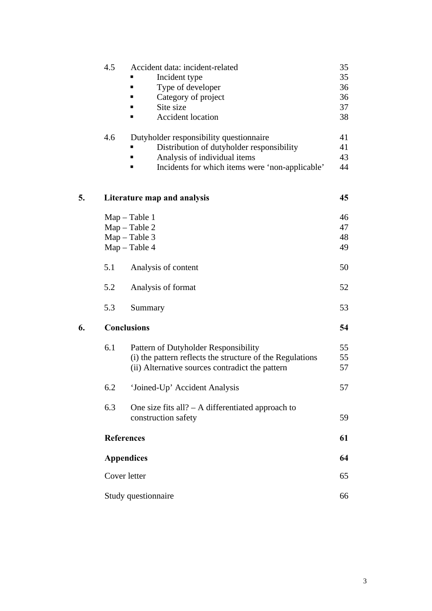|    | 4.5 | Accident data: incident-related                           | 35 |  |
|----|-----|-----------------------------------------------------------|----|--|
|    |     | Incident type                                             | 35 |  |
|    |     | Type of developer<br>■                                    | 36 |  |
|    |     | Category of project                                       | 36 |  |
|    |     | Site size                                                 | 37 |  |
|    |     | <b>Accident location</b>                                  | 38 |  |
|    | 4.6 | Dutyholder responsibility questionnaire                   | 41 |  |
|    |     | Distribution of dutyholder responsibility                 | 41 |  |
|    |     | Analysis of individual items                              | 43 |  |
|    |     | Incidents for which items were 'non-applicable'           | 44 |  |
| 5. |     | Literature map and analysis                               | 45 |  |
|    |     | $Map - Table 1$                                           | 46 |  |
|    |     | $Map - Table 2$                                           | 47 |  |
|    |     | $Map - Table 3$                                           | 48 |  |
|    |     | $Map - Table 4$                                           | 49 |  |
|    | 5.1 | Analysis of content                                       | 50 |  |
|    | 5.2 | Analysis of format                                        | 52 |  |
|    | 5.3 | Summary                                                   | 53 |  |
| 6. |     | <b>Conclusions</b>                                        | 54 |  |
|    | 6.1 | Pattern of Dutyholder Responsibility                      | 55 |  |
|    |     | (i) the pattern reflects the structure of the Regulations | 55 |  |
|    |     | (ii) Alternative sources contradict the pattern           | 57 |  |
|    | 6.2 | 'Joined-Up' Accident Analysis                             | 57 |  |
|    | 6.3 | One size fits all? $- A$ differentiated approach to       |    |  |
|    |     | construction safety                                       | 59 |  |
|    |     | <b>References</b>                                         | 61 |  |
|    |     | <b>Appendices</b>                                         |    |  |
|    |     | Cover letter                                              | 65 |  |
|    |     | Study questionnaire                                       | 66 |  |
|    |     |                                                           |    |  |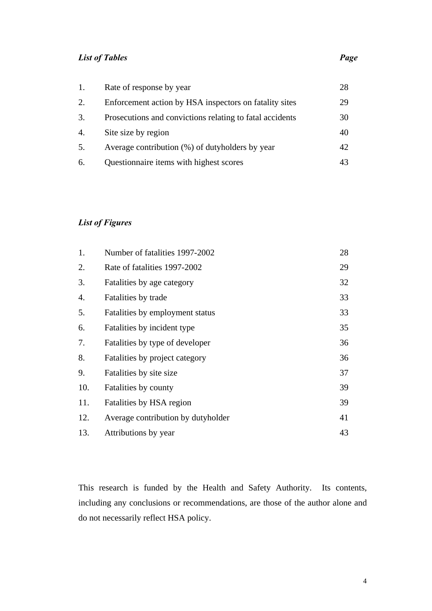# *List of Tables Page*

| 1. | Rate of response by year                                 | 28 |
|----|----------------------------------------------------------|----|
| 2. | Enforcement action by HSA inspectors on fatality sites   | 29 |
| 3. | Prosecutions and convictions relating to fatal accidents | 30 |
| 4. | Site size by region                                      | 40 |
| 5. | Average contribution (%) of dutyholders by year          | 42 |
| 6. | Questionnaire items with highest scores                  | 43 |

# *List of Figures*

| 1.  | Number of fatalities 1997-2002     | 28 |
|-----|------------------------------------|----|
| 2.  | Rate of fatalities 1997-2002       | 29 |
| 3.  | Fatalities by age category         | 32 |
| 4.  | Fatalities by trade                | 33 |
| 5.  | Fatalities by employment status    | 33 |
| 6.  | Fatalities by incident type        | 35 |
| 7.  | Fatalities by type of developer    | 36 |
| 8.  | Fatalities by project category     | 36 |
| 9.  | Fatalities by site size            | 37 |
| 10. | Fatalities by county               | 39 |
| 11. | Fatalities by HSA region           | 39 |
| 12. | Average contribution by dutyholder | 41 |
| 13. | Attributions by year               | 43 |

This research is funded by the Health and Safety Authority. Its contents, including any conclusions or recommendations, are those of the author alone and do not necessarily reflect HSA policy.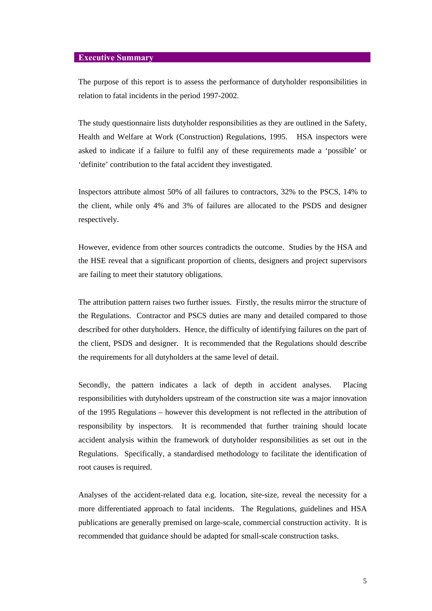#### **Executive Summary**

The purpose of this report is to assess the performance of dutyholder responsibilities in relation to fatal incidents in the period 1997-2002.

The study questionnaire lists dutyholder responsibilities as they are outlined in the Safety, Health and Welfare at Work (Construction) Regulations, 1995. HSA inspectors were asked to indicate if a failure to fulfil any of these requirements made a 'possible' or 'definite' contribution to the fatal accident they investigated.

Inspectors attribute almost 50% of all failures to contractors, 32% to the PSCS, 14% to the client, while only 4% and 3% of failures are allocated to the PSDS and designer respectively.

However, evidence from other sources contradicts the outcome. Studies by the HSA and the HSE reveal that a significant proportion of clients, designers and project supervisors are failing to meet their statutory obligations.

The attribution pattern raises two further issues. Firstly, the results mirror the structure of the Regulations. Contractor and PSCS duties are many and detailed compared to those described for other dutyholders. Hence, the difficulty of identifying failures on the part of the client, PSDS and designer. It is recommended that the Regulations should describe the requirements for all dutyholders at the same level of detail.

Secondly, the pattern indicates a lack of depth in accident analyses. Placing responsibilities with dutyholders upstream of the construction site was a major innovation of the 1995 Regulations – however this development is not reflected in the attribution of responsibility by inspectors. It is recommended that further training should locate accident analysis within the framework of dutyholder responsibilities as set out in the Regulations. Specifically, a standardised methodology to facilitate the identification of root causes is required.

Analyses of the accident-related data e.g. location, site-size, reveal the necessity for a more differentiated approach to fatal incidents. The Regulations, guidelines and HSA publications are generally premised on large-scale, commercial construction activity. It is recommended that guidance should be adapted for small-scale construction tasks.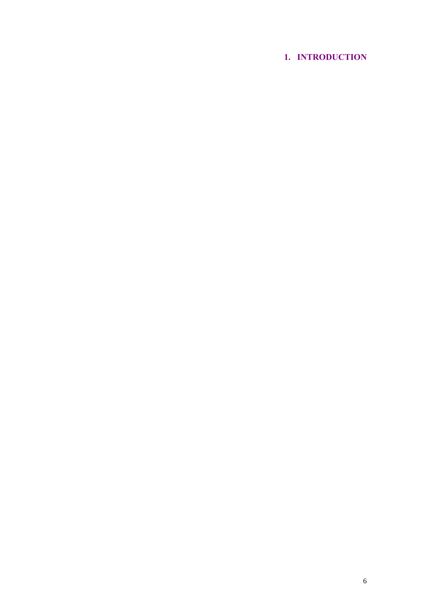# **1. INTRODUCTION**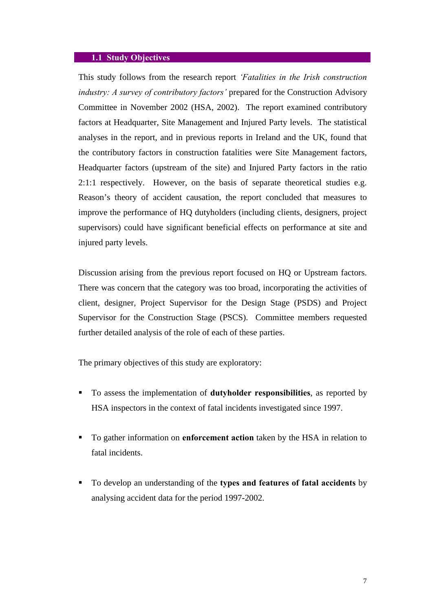#### **1.1 Study Objectives**

This study follows from the research report *'Fatalities in the Irish construction industry: A survey of contributory factors'* prepared for the Construction Advisory Committee in November 2002 (HSA, 2002). The report examined contributory factors at Headquarter, Site Management and Injured Party levels. The statistical analyses in the report, and in previous reports in Ireland and the UK, found that the contributory factors in construction fatalities were Site Management factors, Headquarter factors (upstream of the site) and Injured Party factors in the ratio 2:1:1 respectively. However, on the basis of separate theoretical studies e.g. Reason's theory of accident causation, the report concluded that measures to improve the performance of HQ dutyholders (including clients, designers, project supervisors) could have significant beneficial effects on performance at site and injured party levels.

Discussion arising from the previous report focused on HQ or Upstream factors. There was concern that the category was too broad, incorporating the activities of client, designer, Project Supervisor for the Design Stage (PSDS) and Project Supervisor for the Construction Stage (PSCS). Committee members requested further detailed analysis of the role of each of these parties.

The primary objectives of this study are exploratory:

- ß To assess the implementation of **dutyholder responsibilities**, as reported by HSA inspectors in the context of fatal incidents investigated since 1997.
- ß To gather information on **enforcement action** taken by the HSA in relation to fatal incidents.
- ß To develop an understanding of the **types and features of fatal accidents** by analysing accident data for the period 1997-2002.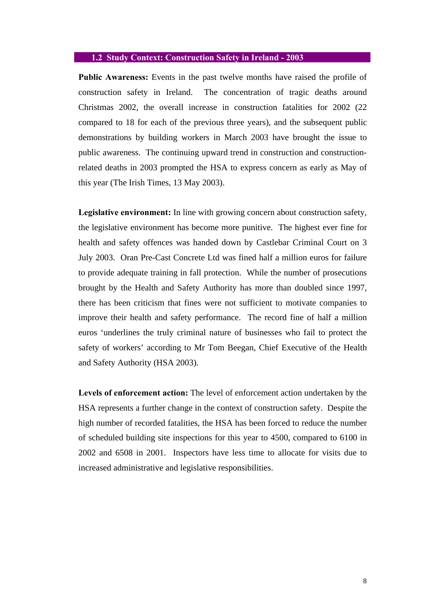#### **1.2 Study Context: Construction Safety in Ireland - 2003**

**Public Awareness:** Events in the past twelve months have raised the profile of construction safety in Ireland. The concentration of tragic deaths around Christmas 2002, the overall increase in construction fatalities for 2002 (22 compared to 18 for each of the previous three years), and the subsequent public demonstrations by building workers in March 2003 have brought the issue to public awareness. The continuing upward trend in construction and constructionrelated deaths in 2003 prompted the HSA to express concern as early as May of this year (The Irish Times, 13 May 2003).

**Legislative environment:** In line with growing concern about construction safety, the legislative environment has become more punitive. The highest ever fine for health and safety offences was handed down by Castlebar Criminal Court on 3 July 2003. Oran Pre-Cast Concrete Ltd was fined half a million euros for failure to provide adequate training in fall protection. While the number of prosecutions brought by the Health and Safety Authority has more than doubled since 1997, there has been criticism that fines were not sufficient to motivate companies to improve their health and safety performance. The record fine of half a million euros 'underlines the truly criminal nature of businesses who fail to protect the safety of workers' according to Mr Tom Beegan, Chief Executive of the Health and Safety Authority (HSA 2003).

**Levels of enforcement action:** The level of enforcement action undertaken by the HSA represents a further change in the context of construction safety. Despite the high number of recorded fatalities, the HSA has been forced to reduce the number of scheduled building site inspections for this year to 4500, compared to 6100 in 2002 and 6508 in 2001. Inspectors have less time to allocate for visits due to increased administrative and legislative responsibilities.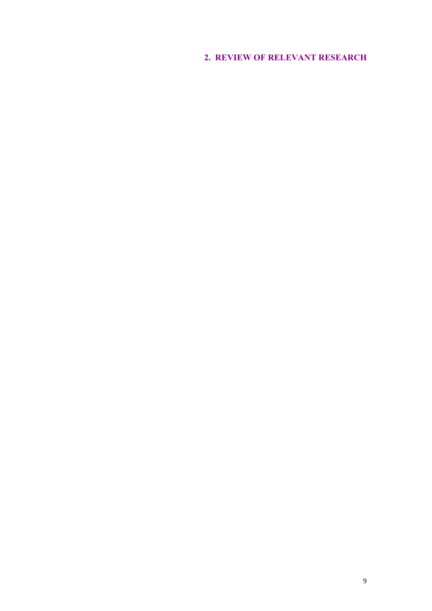# **2. REVIEW OF RELEVANT RESEARCH**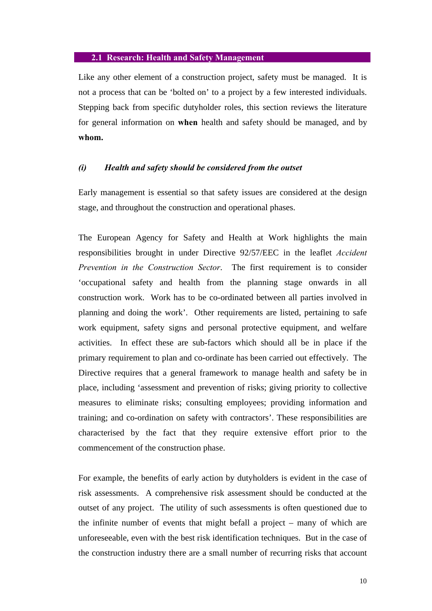#### **2.1 Research: Health and Safety Management**

Like any other element of a construction project, safety must be managed. It is not a process that can be 'bolted on' to a project by a few interested individuals. Stepping back from specific dutyholder roles, this section reviews the literature for general information on **when** health and safety should be managed, and by **whom.**

#### *(i) Health and safety should be considered from the outset*

Early management is essential so that safety issues are considered at the design stage, and throughout the construction and operational phases.

The European Agency for Safety and Health at Work highlights the main responsibilities brought in under Directive 92/57/EEC in the leaflet *Accident Prevention in the Construction Sector*. The first requirement is to consider 'occupational safety and health from the planning stage onwards in all construction work. Work has to be co-ordinated between all parties involved in planning and doing the work'. Other requirements are listed, pertaining to safe work equipment, safety signs and personal protective equipment, and welfare activities. In effect these are sub-factors which should all be in place if the primary requirement to plan and co-ordinate has been carried out effectively. The Directive requires that a general framework to manage health and safety be in place, including 'assessment and prevention of risks; giving priority to collective measures to eliminate risks; consulting employees; providing information and training; and co-ordination on safety with contractors'. These responsibilities are characterised by the fact that they require extensive effort prior to the commencement of the construction phase.

For example, the benefits of early action by dutyholders is evident in the case of risk assessments. A comprehensive risk assessment should be conducted at the outset of any project. The utility of such assessments is often questioned due to the infinite number of events that might befall a project – many of which are unforeseeable, even with the best risk identification techniques. But in the case of the construction industry there are a small number of recurring risks that account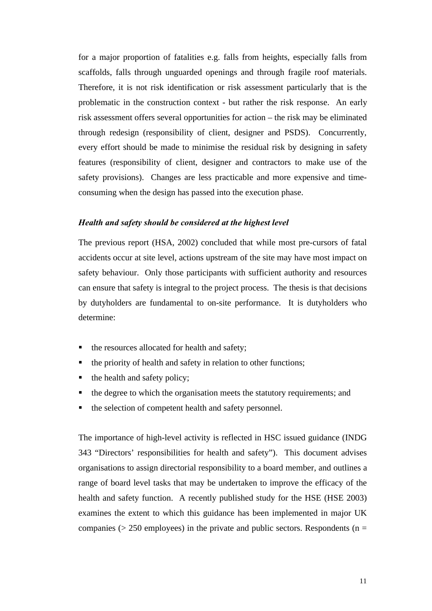for a major proportion of fatalities e.g. falls from heights, especially falls from scaffolds, falls through unguarded openings and through fragile roof materials. Therefore, it is not risk identification or risk assessment particularly that is the problematic in the construction context - but rather the risk response. An early risk assessment offers several opportunities for action – the risk may be eliminated through redesign (responsibility of client, designer and PSDS). Concurrently, every effort should be made to minimise the residual risk by designing in safety features (responsibility of client, designer and contractors to make use of the safety provisions). Changes are less practicable and more expensive and timeconsuming when the design has passed into the execution phase.

#### *Health and safety should be considered at the highest level*

The previous report (HSA, 2002) concluded that while most pre-cursors of fatal accidents occur at site level, actions upstream of the site may have most impact on safety behaviour. Only those participants with sufficient authority and resources can ensure that safety is integral to the project process. The thesis is that decisions by dutyholders are fundamental to on-site performance. It is dutyholders who determine:

- the resources allocated for health and safety;
- the priority of health and safety in relation to other functions;
- ß the health and safety policy;
- ß the degree to which the organisation meets the statutory requirements; and
- ß the selection of competent health and safety personnel.

The importance of high-level activity is reflected in HSC issued guidance (INDG 343 "Directors' responsibilities for health and safety"). This document advises organisations to assign directorial responsibility to a board member, and outlines a range of board level tasks that may be undertaken to improve the efficacy of the health and safety function. A recently published study for the HSE (HSE 2003) examines the extent to which this guidance has been implemented in major UK companies ( $> 250$  employees) in the private and public sectors. Respondents ( $n =$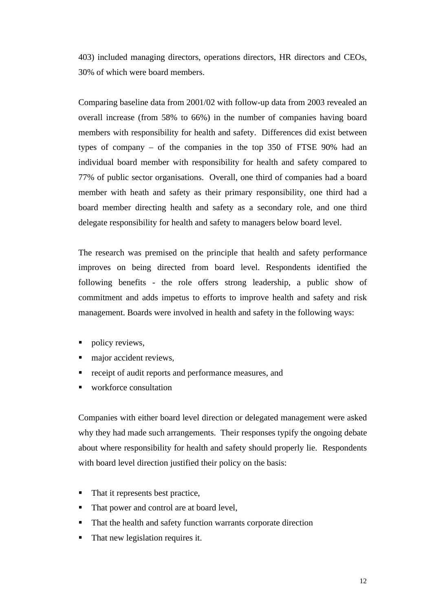403) included managing directors, operations directors, HR directors and CEOs, 30% of which were board members.

Comparing baseline data from 2001/02 with follow-up data from 2003 revealed an overall increase (from 58% to 66%) in the number of companies having board members with responsibility for health and safety. Differences did exist between types of company – of the companies in the top 350 of FTSE 90% had an individual board member with responsibility for health and safety compared to 77% of public sector organisations. Overall, one third of companies had a board member with heath and safety as their primary responsibility, one third had a board member directing health and safety as a secondary role, and one third delegate responsibility for health and safety to managers below board level.

The research was premised on the principle that health and safety performance improves on being directed from board level. Respondents identified the following benefits - the role offers strong leadership, a public show of commitment and adds impetus to efforts to improve health and safety and risk management. Boards were involved in health and safety in the following ways:

- ß policy reviews,
- major accident reviews,
- **•** receipt of audit reports and performance measures, and
- workforce consultation

Companies with either board level direction or delegated management were asked why they had made such arrangements. Their responses typify the ongoing debate about where responsibility for health and safety should properly lie. Respondents with board level direction justified their policy on the basis:

- That it represents best practice,
- That power and control are at board level,
- That the health and safety function warrants corporate direction
- That new legislation requires it.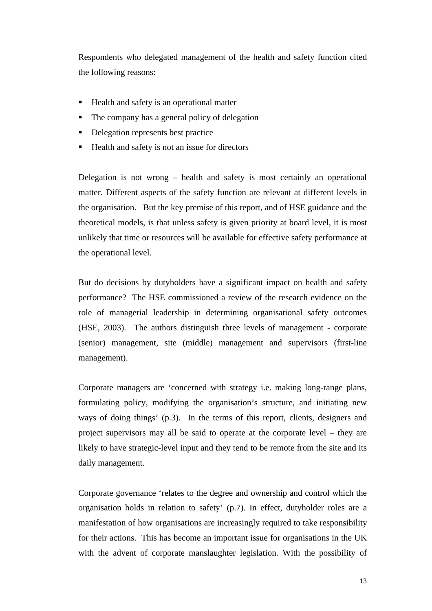Respondents who delegated management of the health and safety function cited the following reasons:

- ß Health and safety is an operational matter
- The company has a general policy of delegation
- ß Delegation represents best practice
- ß Health and safety is not an issue for directors

Delegation is not wrong – health and safety is most certainly an operational matter. Different aspects of the safety function are relevant at different levels in the organisation. But the key premise of this report, and of HSE guidance and the theoretical models, is that unless safety is given priority at board level, it is most unlikely that time or resources will be available for effective safety performance at the operational level.

But do decisions by dutyholders have a significant impact on health and safety performance? The HSE commissioned a review of the research evidence on the role of managerial leadership in determining organisational safety outcomes (HSE, 2003). The authors distinguish three levels of management - corporate (senior) management, site (middle) management and supervisors (first-line management).

Corporate managers are 'concerned with strategy i.e. making long-range plans, formulating policy, modifying the organisation's structure, and initiating new ways of doing things' (p.3). In the terms of this report, clients, designers and project supervisors may all be said to operate at the corporate level – they are likely to have strategic-level input and they tend to be remote from the site and its daily management.

Corporate governance 'relates to the degree and ownership and control which the organisation holds in relation to safety' (p.7). In effect, dutyholder roles are a manifestation of how organisations are increasingly required to take responsibility for their actions. This has become an important issue for organisations in the UK with the advent of corporate manslaughter legislation. With the possibility of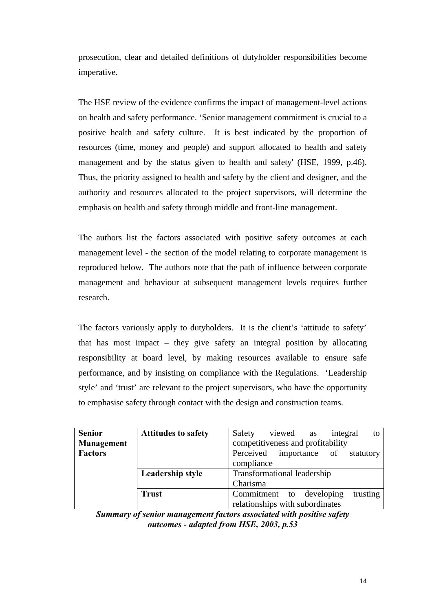prosecution, clear and detailed definitions of dutyholder responsibilities become imperative.

The HSE review of the evidence confirms the impact of management-level actions on health and safety performance. 'Senior management commitment is crucial to a positive health and safety culture. It is best indicated by the proportion of resources (time, money and people) and support allocated to health and safety management and by the status given to health and safety' (HSE, 1999, p.46). Thus, the priority assigned to health and safety by the client and designer, and the authority and resources allocated to the project supervisors, will determine the emphasis on health and safety through middle and front-line management.

The authors list the factors associated with positive safety outcomes at each management level - the section of the model relating to corporate management is reproduced below. The authors note that the path of influence between corporate management and behaviour at subsequent management levels requires further research.

The factors variously apply to dutyholders. It is the client's 'attitude to safety' that has most impact – they give safety an integral position by allocating responsibility at board level, by making resources available to ensure safe performance, and by insisting on compliance with the Regulations. 'Leadership style' and 'trust' are relevant to the project supervisors, who have the opportunity to emphasise safety through contact with the design and construction teams.

| <b>Senior</b>  | <b>Attitudes to safety</b> | viewed as<br>Safety<br>integral<br>to |  |  |  |  |
|----------------|----------------------------|---------------------------------------|--|--|--|--|
| Management     |                            | competitiveness and profitability     |  |  |  |  |
| <b>Factors</b> |                            | Perceived importance of statutory     |  |  |  |  |
|                |                            | compliance                            |  |  |  |  |
|                | Leadership style           | <b>Transformational leadership</b>    |  |  |  |  |
|                |                            | Charisma                              |  |  |  |  |
|                | <b>Trust</b>               | Commitment to developing<br>trusting  |  |  |  |  |
|                |                            | relationships with subordinates       |  |  |  |  |

*Summary of senior management factors associated with positive safety outcomes - adapted from HSE, 2003, p.53*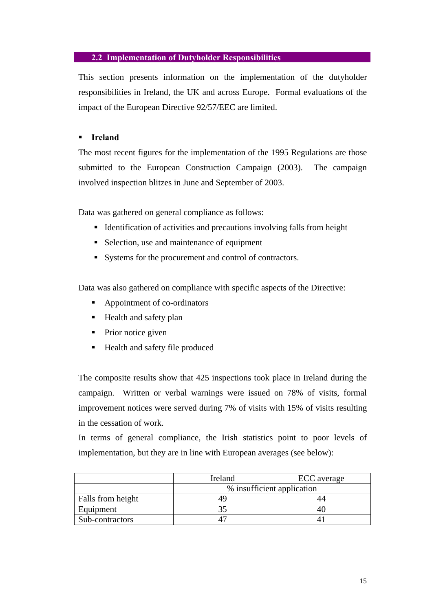## **2.2 Implementation of Dutyholder Responsibilities**

This section presents information on the implementation of the dutyholder responsibilities in Ireland, the UK and across Europe. Formal evaluations of the impact of the European Directive 92/57/EEC are limited.

### **F** Ireland

The most recent figures for the implementation of the 1995 Regulations are those submitted to the European Construction Campaign (2003). The campaign involved inspection blitzes in June and September of 2003.

Data was gathered on general compliance as follows:

- $\blacksquare$  Identification of activities and precautions involving falls from height
- Selection, use and maintenance of equipment
- Systems for the procurement and control of contractors.

Data was also gathered on compliance with specific aspects of the Directive:

- ß Appointment of co-ordinators
- $\blacksquare$  Health and safety plan
- $\blacksquare$  Prior notice given
- ß Health and safety file produced

The composite results show that 425 inspections took place in Ireland during the campaign. Written or verbal warnings were issued on 78% of visits, formal improvement notices were served during 7% of visits with 15% of visits resulting in the cessation of work.

In terms of general compliance, the Irish statistics point to poor levels of implementation, but they are in line with European averages (see below):

|                   | Ireland | ECC average                |
|-------------------|---------|----------------------------|
|                   |         | % insufficient application |
| Falls from height |         |                            |
| Equipment         |         |                            |
| Sub-contractors   |         |                            |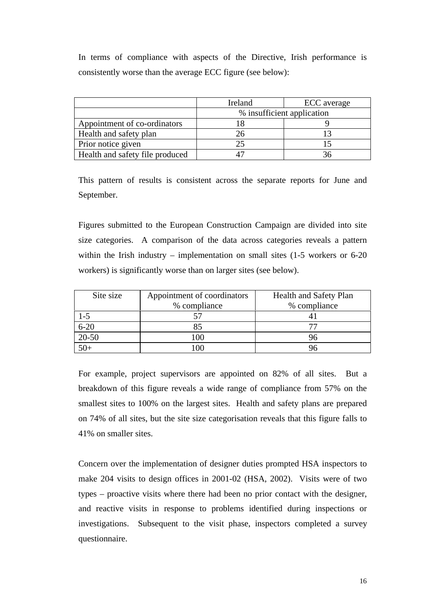In terms of compliance with aspects of the Directive, Irish performance is consistently worse than the average ECC figure (see below):

|                                 | Ireland | ECC average                |
|---------------------------------|---------|----------------------------|
|                                 |         | % insufficient application |
| Appointment of co-ordinators    |         |                            |
| Health and safety plan          | 26      |                            |
| Prior notice given              |         |                            |
| Health and safety file produced |         |                            |

This pattern of results is consistent across the separate reports for June and September.

Figures submitted to the European Construction Campaign are divided into site size categories. A comparison of the data across categories reveals a pattern within the Irish industry – implementation on small sites (1-5 workers or 6-20 workers) is significantly worse than on larger sites (see below).

| Site size | Appointment of coordinators | Health and Safety Plan |
|-----------|-----------------------------|------------------------|
|           | % compliance                | % compliance           |
| $1-5$     |                             |                        |
| $6 - 20$  | 85                          | 77                     |
| $20 - 50$ |                             |                        |
| $50+$     |                             |                        |

For example, project supervisors are appointed on 82% of all sites. But a breakdown of this figure reveals a wide range of compliance from 57% on the smallest sites to 100% on the largest sites. Health and safety plans are prepared on 74% of all sites, but the site size categorisation reveals that this figure falls to 41% on smaller sites.

Concern over the implementation of designer duties prompted HSA inspectors to make 204 visits to design offices in 2001-02 (HSA, 2002). Visits were of two types – proactive visits where there had been no prior contact with the designer, and reactive visits in response to problems identified during inspections or investigations. Subsequent to the visit phase, inspectors completed a survey questionnaire.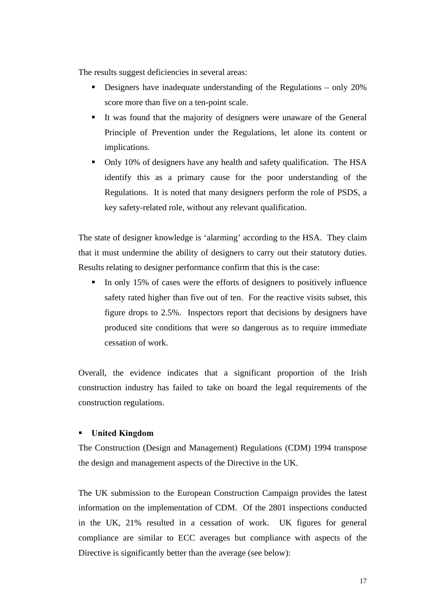The results suggest deficiencies in several areas:

- **•** Designers have inadequate understanding of the Regulations only  $20\%$ score more than five on a ten-point scale.
- It was found that the majority of designers were unaware of the General Principle of Prevention under the Regulations, let alone its content or implications.
- Only 10% of designers have any health and safety qualification. The HSA identify this as a primary cause for the poor understanding of the Regulations. It is noted that many designers perform the role of PSDS, a key safety-related role, without any relevant qualification.

The state of designer knowledge is 'alarming' according to the HSA. They claim that it must undermine the ability of designers to carry out their statutory duties. Results relating to designer performance confirm that this is the case:

ß In only 15% of cases were the efforts of designers to positively influence safety rated higher than five out of ten. For the reactive visits subset, this figure drops to 2.5%. Inspectors report that decisions by designers have produced site conditions that were so dangerous as to require immediate cessation of work.

Overall, the evidence indicates that a significant proportion of the Irish construction industry has failed to take on board the legal requirements of the construction regulations.

## ß **United Kingdom**

The Construction (Design and Management) Regulations (CDM) 1994 transpose the design and management aspects of the Directive in the UK.

The UK submission to the European Construction Campaign provides the latest information on the implementation of CDM. Of the 2801 inspections conducted in the UK, 21% resulted in a cessation of work. UK figures for general compliance are similar to ECC averages but compliance with aspects of the Directive is significantly better than the average (see below):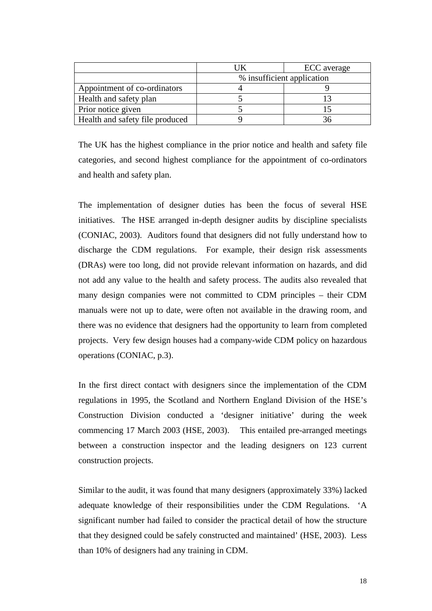|                                 | IK | ECC average                |
|---------------------------------|----|----------------------------|
|                                 |    | % insufficient application |
| Appointment of co-ordinators    |    |                            |
| Health and safety plan          |    |                            |
| Prior notice given              |    |                            |
| Health and safety file produced |    |                            |

The UK has the highest compliance in the prior notice and health and safety file categories, and second highest compliance for the appointment of co-ordinators and health and safety plan.

The implementation of designer duties has been the focus of several HSE initiatives. The HSE arranged in-depth designer audits by discipline specialists (CONIAC, 2003). Auditors found that designers did not fully understand how to discharge the CDM regulations. For example, their design risk assessments (DRAs) were too long, did not provide relevant information on hazards, and did not add any value to the health and safety process. The audits also revealed that many design companies were not committed to CDM principles – their CDM manuals were not up to date, were often not available in the drawing room, and there was no evidence that designers had the opportunity to learn from completed projects. Very few design houses had a company-wide CDM policy on hazardous operations (CONIAC, p.3).

In the first direct contact with designers since the implementation of the CDM regulations in 1995, the Scotland and Northern England Division of the HSE's Construction Division conducted a 'designer initiative' during the week commencing 17 March 2003 (HSE, 2003). This entailed pre-arranged meetings between a construction inspector and the leading designers on 123 current construction projects.

Similar to the audit, it was found that many designers (approximately 33%) lacked adequate knowledge of their responsibilities under the CDM Regulations. 'A significant number had failed to consider the practical detail of how the structure that they designed could be safely constructed and maintained' (HSE, 2003). Less than 10% of designers had any training in CDM.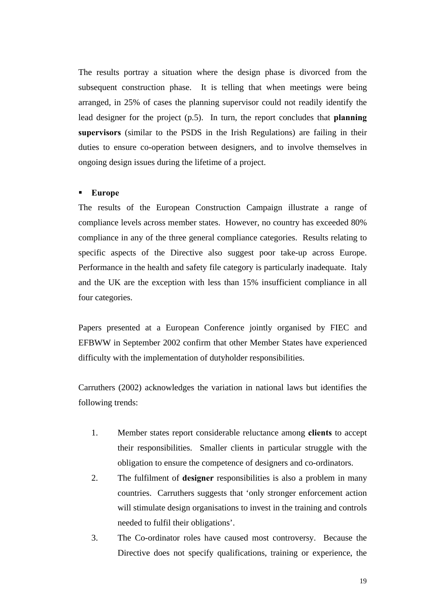The results portray a situation where the design phase is divorced from the subsequent construction phase. It is telling that when meetings were being arranged, in 25% of cases the planning supervisor could not readily identify the lead designer for the project (p.5). In turn, the report concludes that **planning supervisors** (similar to the PSDS in the Irish Regulations) are failing in their duties to ensure co-operation between designers, and to involve themselves in ongoing design issues during the lifetime of a project.

#### ß **Europe**

The results of the European Construction Campaign illustrate a range of compliance levels across member states. However, no country has exceeded 80% compliance in any of the three general compliance categories. Results relating to specific aspects of the Directive also suggest poor take-up across Europe. Performance in the health and safety file category is particularly inadequate. Italy and the UK are the exception with less than 15% insufficient compliance in all four categories.

Papers presented at a European Conference jointly organised by FIEC and EFBWW in September 2002 confirm that other Member States have experienced difficulty with the implementation of dutyholder responsibilities.

Carruthers (2002) acknowledges the variation in national laws but identifies the following trends:

- 1. Member states report considerable reluctance among **clients** to accept their responsibilities. Smaller clients in particular struggle with the obligation to ensure the competence of designers and co-ordinators.
- 2. The fulfilment of **designer** responsibilities is also a problem in many countries. Carruthers suggests that 'only stronger enforcement action will stimulate design organisations to invest in the training and controls needed to fulfil their obligations'.
- 3. The Co-ordinator roles have caused most controversy. Because the Directive does not specify qualifications, training or experience, the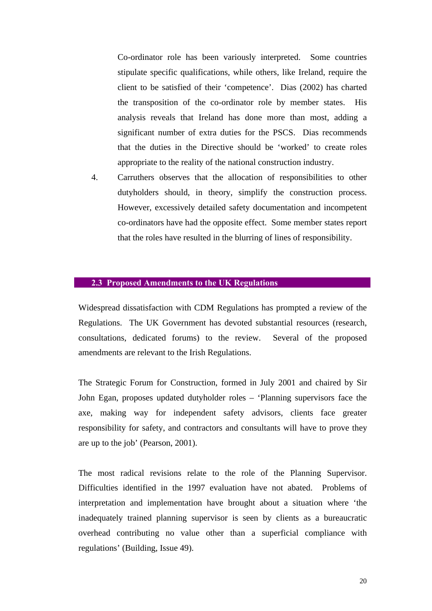Co-ordinator role has been variously interpreted. Some countries stipulate specific qualifications, while others, like Ireland, require the client to be satisfied of their 'competence'. Dias (2002) has charted the transposition of the co-ordinator role by member states. His analysis reveals that Ireland has done more than most, adding a significant number of extra duties for the PSCS. Dias recommends that the duties in the Directive should be 'worked' to create roles appropriate to the reality of the national construction industry.

4. Carruthers observes that the allocation of responsibilities to other dutyholders should, in theory, simplify the construction process. However, excessively detailed safety documentation and incompetent co-ordinators have had the opposite effect. Some member states report that the roles have resulted in the blurring of lines of responsibility.

#### **2.3 Proposed Amendments to the UK Regulations**

Widespread dissatisfaction with CDM Regulations has prompted a review of the Regulations. The UK Government has devoted substantial resources (research, consultations, dedicated forums) to the review. Several of the proposed amendments are relevant to the Irish Regulations.

The Strategic Forum for Construction, formed in July 2001 and chaired by Sir John Egan, proposes updated dutyholder roles – 'Planning supervisors face the axe, making way for independent safety advisors, clients face greater responsibility for safety, and contractors and consultants will have to prove they are up to the job' (Pearson, 2001).

The most radical revisions relate to the role of the Planning Supervisor. Difficulties identified in the 1997 evaluation have not abated. Problems of interpretation and implementation have brought about a situation where 'the inadequately trained planning supervisor is seen by clients as a bureaucratic overhead contributing no value other than a superficial compliance with regulations' (Building, Issue 49).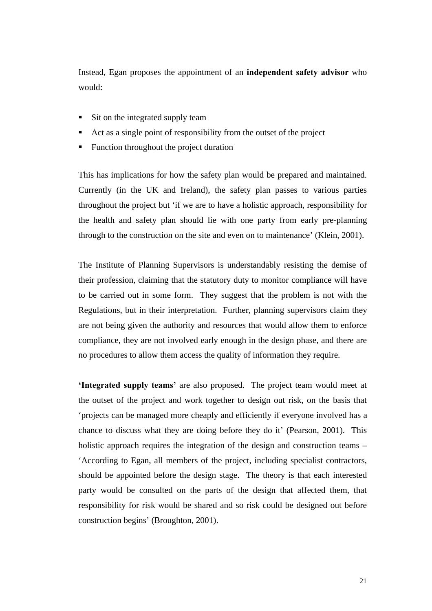Instead, Egan proposes the appointment of an **independent safety advisor** who would:

- Sit on the integrated supply team
- ß Act as a single point of responsibility from the outset of the project
- ß Function throughout the project duration

This has implications for how the safety plan would be prepared and maintained. Currently (in the UK and Ireland), the safety plan passes to various parties throughout the project but 'if we are to have a holistic approach, responsibility for the health and safety plan should lie with one party from early pre-planning through to the construction on the site and even on to maintenance' (Klein, 2001).

The Institute of Planning Supervisors is understandably resisting the demise of their profession, claiming that the statutory duty to monitor compliance will have to be carried out in some form. They suggest that the problem is not with the Regulations, but in their interpretation. Further, planning supervisors claim they are not being given the authority and resources that would allow them to enforce compliance, they are not involved early enough in the design phase, and there are no procedures to allow them access the quality of information they require.

**'Integrated supply teams'** are also proposed. The project team would meet at the outset of the project and work together to design out risk, on the basis that 'projects can be managed more cheaply and efficiently if everyone involved has a chance to discuss what they are doing before they do it' (Pearson, 2001). This holistic approach requires the integration of the design and construction teams – 'According to Egan, all members of the project, including specialist contractors, should be appointed before the design stage. The theory is that each interested party would be consulted on the parts of the design that affected them, that responsibility for risk would be shared and so risk could be designed out before construction begins' (Broughton, 2001).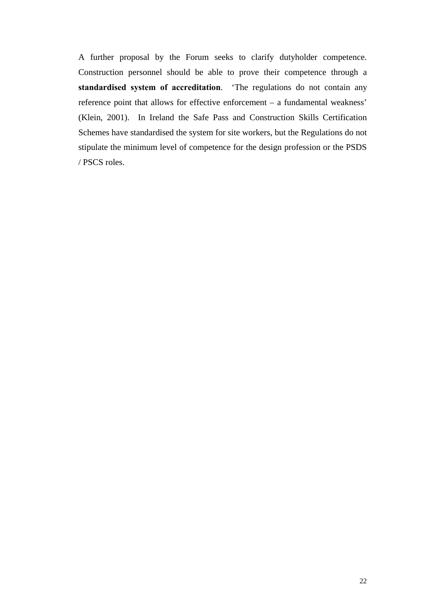A further proposal by the Forum seeks to clarify dutyholder competence. Construction personnel should be able to prove their competence through a **standardised system of accreditation**. 'The regulations do not contain any reference point that allows for effective enforcement – a fundamental weakness' (Klein, 2001). In Ireland the Safe Pass and Construction Skills Certification Schemes have standardised the system for site workers, but the Regulations do not stipulate the minimum level of competence for the design profession or the PSDS / PSCS roles.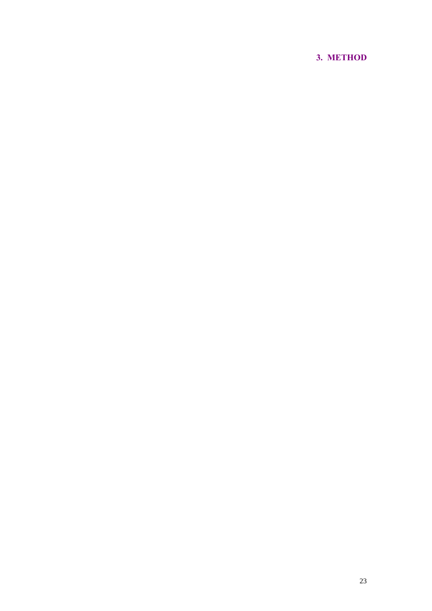# **3. METHOD**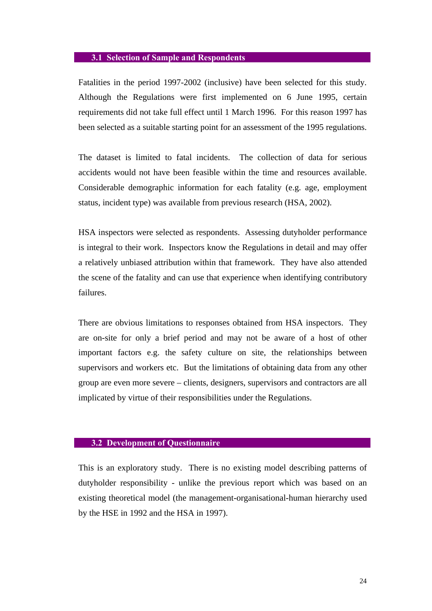#### **3.1 Selection of Sample and Respondents**

Fatalities in the period 1997-2002 (inclusive) have been selected for this study. Although the Regulations were first implemented on 6 June 1995, certain requirements did not take full effect until 1 March 1996. For this reason 1997 has been selected as a suitable starting point for an assessment of the 1995 regulations.

The dataset is limited to fatal incidents. The collection of data for serious accidents would not have been feasible within the time and resources available. Considerable demographic information for each fatality (e.g. age, employment status, incident type) was available from previous research (HSA, 2002).

HSA inspectors were selected as respondents. Assessing dutyholder performance is integral to their work. Inspectors know the Regulations in detail and may offer a relatively unbiased attribution within that framework. They have also attended the scene of the fatality and can use that experience when identifying contributory failures.

There are obvious limitations to responses obtained from HSA inspectors. They are on-site for only a brief period and may not be aware of a host of other important factors e.g. the safety culture on site, the relationships between supervisors and workers etc. But the limitations of obtaining data from any other group are even more severe – clients, designers, supervisors and contractors are all implicated by virtue of their responsibilities under the Regulations.

#### **3.2 Development of Questionnaire**

This is an exploratory study. There is no existing model describing patterns of dutyholder responsibility - unlike the previous report which was based on an existing theoretical model (the management-organisational-human hierarchy used by the HSE in 1992 and the HSA in 1997).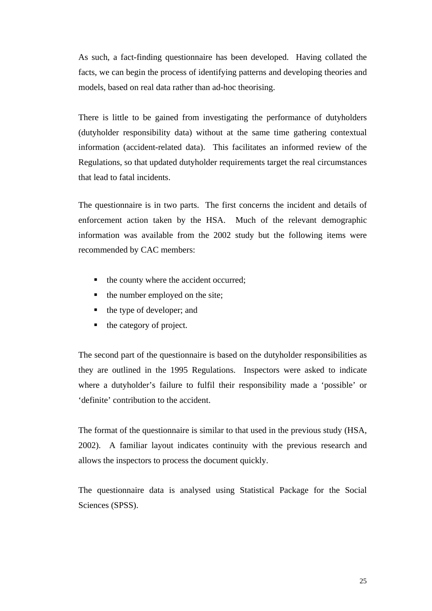As such, a fact-finding questionnaire has been developed. Having collated the facts, we can begin the process of identifying patterns and developing theories and models, based on real data rather than ad-hoc theorising.

There is little to be gained from investigating the performance of dutyholders (dutyholder responsibility data) without at the same time gathering contextual information (accident-related data). This facilitates an informed review of the Regulations, so that updated dutyholder requirements target the real circumstances that lead to fatal incidents.

The questionnaire is in two parts. The first concerns the incident and details of enforcement action taken by the HSA. Much of the relevant demographic information was available from the 2002 study but the following items were recommended by CAC members:

- the county where the accident occurred;
- $\blacksquare$  the number employed on the site;
- $\blacksquare$  the type of developer; and
- $\blacksquare$  the category of project.

The second part of the questionnaire is based on the dutyholder responsibilities as they are outlined in the 1995 Regulations. Inspectors were asked to indicate where a dutyholder's failure to fulfil their responsibility made a 'possible' or 'definite' contribution to the accident.

The format of the questionnaire is similar to that used in the previous study (HSA, 2002). A familiar layout indicates continuity with the previous research and allows the inspectors to process the document quickly.

The questionnaire data is analysed using Statistical Package for the Social Sciences (SPSS).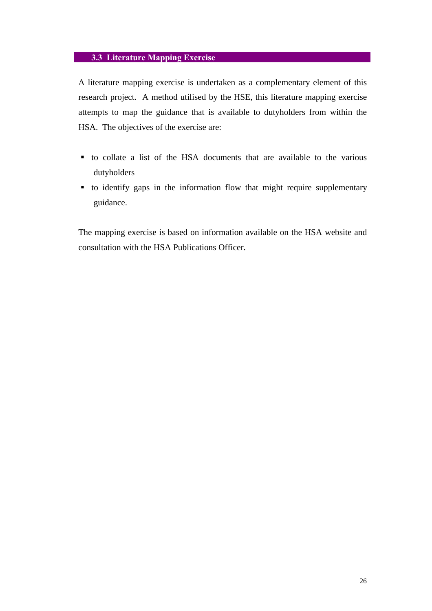## **3.3 Literature Mapping Exercise**

A literature mapping exercise is undertaken as a complementary element of this research project. A method utilised by the HSE, this literature mapping exercise attempts to map the guidance that is available to dutyholders from within the HSA. The objectives of the exercise are:

- ß to collate a list of the HSA documents that are available to the various dutyholders
- ß to identify gaps in the information flow that might require supplementary guidance.

The mapping exercise is based on information available on the HSA website and consultation with the HSA Publications Officer.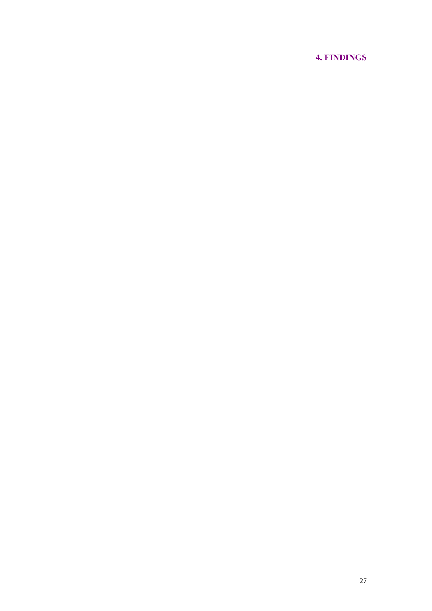# **4. FINDINGS**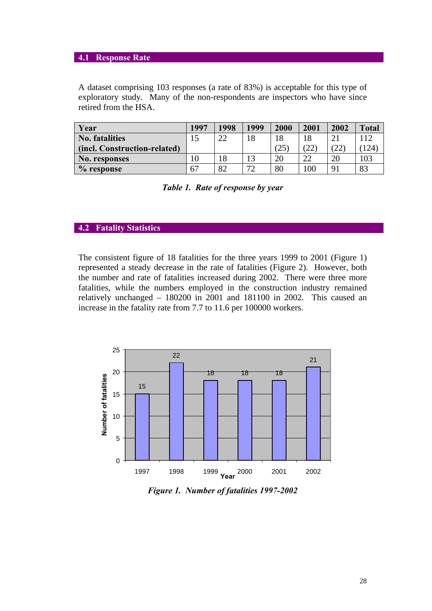#### **4.1 Response Rate**

A dataset comprising 103 responses (a rate of 83%) is acceptable for this type of exploratory study. Many of the non-respondents are inspectors who have since retired from the HSA.

| Year                         | 1997 | 1998 | 1999 | 2000 | 2001          | 2002                  | <b>Total</b> |
|------------------------------|------|------|------|------|---------------|-----------------------|--------------|
| No. fatalities               | 15   | 22   | 18   | 18   | 18            | ി                     |              |
| (incl. Construction-related) |      |      |      | (25) | $^{\prime}22$ | (22)                  | (124)        |
| No. responses                |      | 18   | 13   | 20   | 22            | 20                    | 103          |
| $%$ response                 | 67   | 82   | 72   | 80   | 100           | $\mathbf{Q}^{\prime}$ | 83           |

| Table 1. Rate of response by year |  |  |  |  |
|-----------------------------------|--|--|--|--|
|-----------------------------------|--|--|--|--|

#### **4.2 Fatality Statistics**

The consistent figure of 18 fatalities for the three years 1999 to 2001 (Figure 1) represented a steady decrease in the rate of fatalities (Figure 2). However, both the number and rate of fatalities increased during 2002. There were three more fatalities, while the numbers employed in the construction industry remained relatively unchanged – 180200 in 2001 and 181100 in 2002. This caused an increase in the fatality rate from 7.7 to 11.6 per 100000 workers.



*Figure 1. Number of fatalities 1997-2002*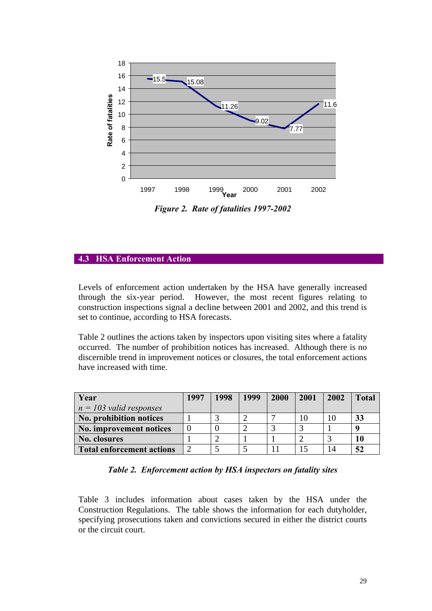

*Figure 2. Rate of fatalities 1997-2002*

## **4.3 HSA Enforcement Action**

Levels of enforcement action undertaken by the HSA have generally increased through the six-year period. However, the most recent figures relating to construction inspections signal a decline between 2001 and 2002, and this trend is set to continue, according to HSA forecasts.

Table 2 outlines the actions taken by inspectors upon visiting sites where a fatality occurred. The number of prohibition notices has increased. Although there is no discernible trend in improvement notices or closures, the total enforcement actions have increased with time.

| Year                      | 1997 | 1998 | 1999 | 2000 | 2001 | 2002 | <b>Total</b> |
|---------------------------|------|------|------|------|------|------|--------------|
| $n = 103$ valid responses |      |      |      |      |      |      |              |
| No. prohibition notices   |      |      |      |      |      |      | 33           |
| No. improvement notices   |      |      |      |      |      |      |              |
| No. closures              |      |      |      |      |      |      | 10           |
| Total enforcement actions |      |      |      |      |      |      | 52           |

|  |  |  |  | Table 2. Enforcement action by HSA inspectors on fatality sites |
|--|--|--|--|-----------------------------------------------------------------|
|--|--|--|--|-----------------------------------------------------------------|

Table 3 includes information about cases taken by the HSA under the Construction Regulations. The table shows the information for each dutyholder, specifying prosecutions taken and convictions secured in either the district courts or the circuit court.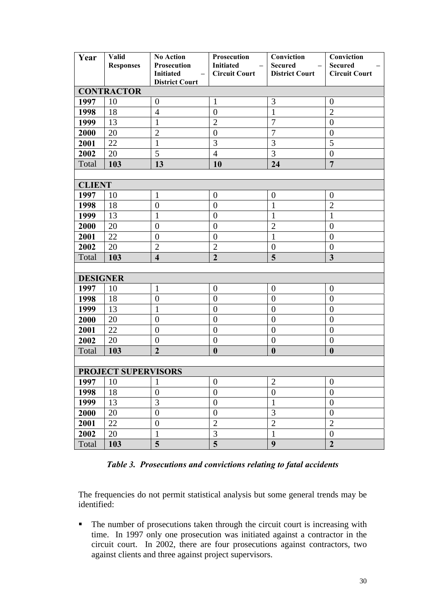| Year            | Valid<br><b>Responses</b>  | <b>No Action</b><br>Prosecution<br><b>Initiated</b><br>$\qquad \qquad -$ | Prosecution<br><b>Initiated</b><br><b>Circuit Court</b> | Conviction<br><b>Secured</b><br><b>District Court</b> | Conviction<br><b>Secured</b><br><b>Circuit Court</b> |
|-----------------|----------------------------|--------------------------------------------------------------------------|---------------------------------------------------------|-------------------------------------------------------|------------------------------------------------------|
|                 |                            | <b>District Court</b>                                                    |                                                         |                                                       |                                                      |
|                 | <b>CONTRACTOR</b>          |                                                                          |                                                         |                                                       |                                                      |
| 1997            | 10                         | $\boldsymbol{0}$                                                         | $\mathbf{1}$                                            | 3                                                     | $\boldsymbol{0}$                                     |
| 1998            | 18                         | $\overline{4}$                                                           | $\overline{0}$                                          | $\mathbf{1}$                                          | $\overline{2}$                                       |
| 1999            | 13                         | $\mathbf{1}$                                                             | $\overline{2}$                                          | $\overline{7}$                                        | $\overline{0}$                                       |
| 2000            | 20                         | $\overline{2}$                                                           | $\overline{0}$                                          | $\overline{7}$                                        | $\overline{0}$                                       |
| 2001            | 22                         | $\mathbf{1}$                                                             | 3                                                       | 3                                                     | 5                                                    |
| 2002            | 20                         | 5                                                                        | $\overline{4}$                                          | 3                                                     | $\boldsymbol{0}$                                     |
| Total           | 103                        | 13                                                                       | 10                                                      | 24                                                    | $\overline{7}$                                       |
|                 |                            |                                                                          |                                                         |                                                       |                                                      |
| <b>CLIENT</b>   |                            |                                                                          |                                                         |                                                       |                                                      |
| 1997            | 10                         | $\mathbf{1}$                                                             | $\boldsymbol{0}$                                        | $\boldsymbol{0}$                                      | $\boldsymbol{0}$                                     |
| 1998            | 18                         | $\boldsymbol{0}$                                                         | $\overline{0}$                                          | $\mathbf{1}$                                          | $\overline{2}$                                       |
| 1999            | 13                         | $\mathbf{1}$                                                             | $\boldsymbol{0}$                                        | $\mathbf{1}$                                          | $\mathbf{1}$                                         |
| 2000            | 20                         | $\boldsymbol{0}$                                                         | $\boldsymbol{0}$                                        | $\overline{2}$                                        | $\boldsymbol{0}$                                     |
| 2001            | 22                         | $\boldsymbol{0}$                                                         | $\overline{0}$                                          | $\mathbf{1}$                                          | $\overline{0}$                                       |
| 2002            | 20                         | $\overline{c}$                                                           | $\overline{c}$                                          | $\boldsymbol{0}$                                      | $\boldsymbol{0}$                                     |
| Total           | 103                        | $\overline{4}$                                                           | $\overline{2}$                                          | $\overline{\mathbf{5}}$                               | $\overline{\mathbf{3}}$                              |
|                 |                            |                                                                          |                                                         |                                                       |                                                      |
| <b>DESIGNER</b> |                            |                                                                          |                                                         |                                                       |                                                      |
| 1997            | 10                         | $\mathbf{1}$                                                             | $\theta$                                                | $\boldsymbol{0}$                                      | $\theta$                                             |
| 1998            | 18                         | $\overline{0}$                                                           | $\overline{0}$                                          | $\overline{0}$                                        | $\overline{0}$                                       |
| 1999            | 13                         | $\mathbf{1}$                                                             | $\overline{0}$                                          | $\overline{0}$                                        | $\overline{0}$                                       |
| 2000            | 20                         | $\overline{0}$                                                           | $\overline{0}$                                          | $\overline{0}$                                        | $\overline{0}$                                       |
| 2001            | 22                         | $\boldsymbol{0}$                                                         | $\boldsymbol{0}$                                        | $\boldsymbol{0}$                                      | $\boldsymbol{0}$                                     |
| 2002            | 20                         | $\boldsymbol{0}$                                                         | $\boldsymbol{0}$                                        | $\boldsymbol{0}$                                      | $\overline{0}$                                       |
| Total           | 103                        | $\overline{2}$                                                           | $\boldsymbol{0}$                                        | $\boldsymbol{0}$                                      | $\boldsymbol{0}$                                     |
|                 |                            |                                                                          |                                                         |                                                       |                                                      |
|                 | <b>PROJECT SUPERVISORS</b> |                                                                          |                                                         |                                                       |                                                      |
| 1997            | 10                         | $\mathbf 1$                                                              | $\boldsymbol{0}$                                        | $\overline{2}$                                        | $\boldsymbol{0}$                                     |
| 1998            | 18                         | $\overline{0}$                                                           | $\overline{0}$                                          | $\boldsymbol{0}$                                      | $\overline{0}$                                       |
| 1999            | 13                         | 3                                                                        | $\overline{0}$                                          | $\mathbf{1}$                                          | $\boldsymbol{0}$                                     |
| 2000            | 20                         | $\boldsymbol{0}$                                                         | $\boldsymbol{0}$                                        | $\overline{3}$                                        | $\boldsymbol{0}$                                     |
| 2001            | 22                         | $\boldsymbol{0}$                                                         | $\overline{2}$                                          | $\overline{2}$                                        | $\overline{2}$                                       |
| 2002            | 20                         | $\mathbf{1}$                                                             | 3                                                       | $\mathbf{1}$                                          | $\boldsymbol{0}$                                     |
| Total           | 103                        | 5                                                                        | 5                                                       | $\boldsymbol{9}$                                      | $\boldsymbol{2}$                                     |

*Table 3. Prosecutions and convictions relating to fatal accidents*

The frequencies do not permit statistical analysis but some general trends may be identified:

• The number of prosecutions taken through the circuit court is increasing with time. In 1997 only one prosecution was initiated against a contractor in the circuit court. In 2002, there are four prosecutions against contractors, two against clients and three against project supervisors.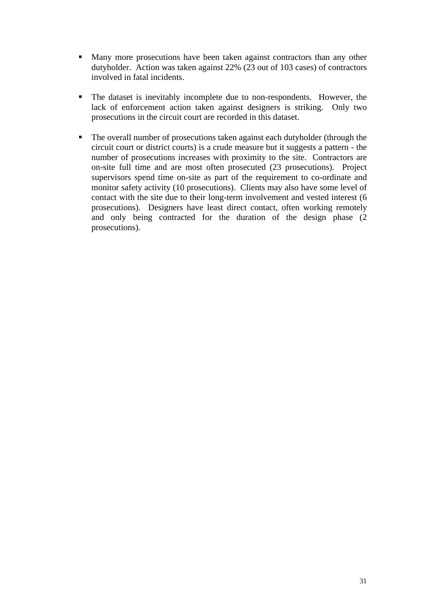- Many more prosecutions have been taken against contractors than any other dutyholder. Action was taken against 22% (23 out of 103 cases) of contractors involved in fatal incidents.
- The dataset is inevitably incomplete due to non-respondents. However, the lack of enforcement action taken against designers is striking. Only two prosecutions in the circuit court are recorded in this dataset.
- The overall number of prosecutions taken against each dutyholder (through the circuit court or district courts) is a crude measure but it suggests a pattern - the number of prosecutions increases with proximity to the site. Contractors are on-site full time and are most often prosecuted (23 prosecutions). Project supervisors spend time on-site as part of the requirement to co-ordinate and monitor safety activity (10 prosecutions). Clients may also have some level of contact with the site due to their long-term involvement and vested interest (6 prosecutions). Designers have least direct contact, often working remotely and only being contracted for the duration of the design phase (2 prosecutions).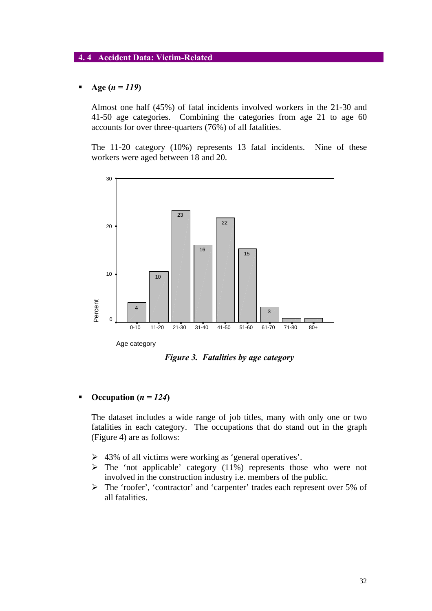### **4. 4 Accident Data: Victim-Related**

### ß **Age (***n = 119***)**

Almost one half (45%) of fatal incidents involved workers in the 21-30 and 41-50 age categories. Combining the categories from age 21 to age 60 accounts for over three-quarters (76%) of all fatalities.

The 11-20 category (10%) represents 13 fatal incidents. Nine of these workers were aged between 18 and 20.



*Figure 3. Fatalities by age category*

## **•** Occupation  $(n = 124)$

The dataset includes a wide range of job titles, many with only one or two fatalities in each category. The occupations that do stand out in the graph (Figure 4) are as follows:

- $\geq 43\%$  of all victims were working as 'general operatives'.
- $\triangleright$  The 'not applicable' category (11%) represents those who were not involved in the construction industry i.e. members of the public.
- ÿ The 'roofer', 'contractor' and 'carpenter' trades each represent over 5% of all fatalities.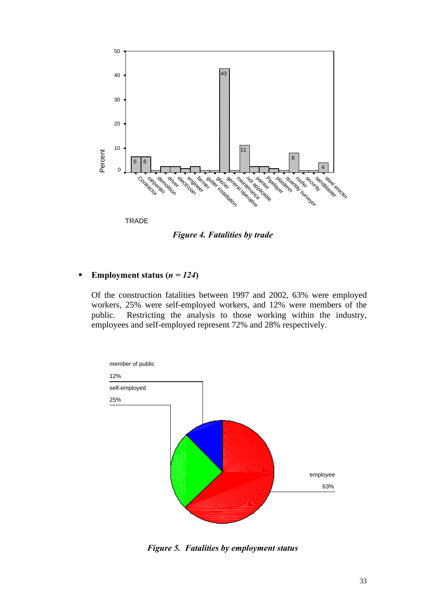

*Figure 4. Fatalities by trade*

## **Employment status (** $n = 124$ **)**

Of the construction fatalities between 1997 and 2002, 63% were employed workers, 25% were self-employed workers, and 12% were members of the public. Restricting the analysis to those working within the industry, employees and self-employed represent 72% and 28% respectively.



*Figure 5. Fatalities by employment status*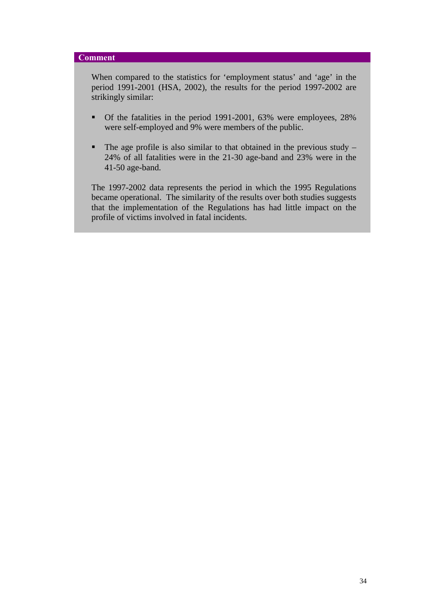#### **Comment**

When compared to the statistics for 'employment status' and 'age' in the period 1991-2001 (HSA, 2002), the results for the period 1997-2002 are strikingly similar:

- Of the fatalities in the period 1991-2001, 63% were employees, 28% were self-employed and 9% were members of the public.
- $\blacksquare$  The age profile is also similar to that obtained in the previous study 24% of all fatalities were in the 21-30 age-band and 23% were in the 41-50 age-band.

The 1997-2002 data represents the period in which the 1995 Regulations became operational. The similarity of the results over both studies suggests that the implementation of the Regulations has had little impact on the profile of victims involved in fatal incidents.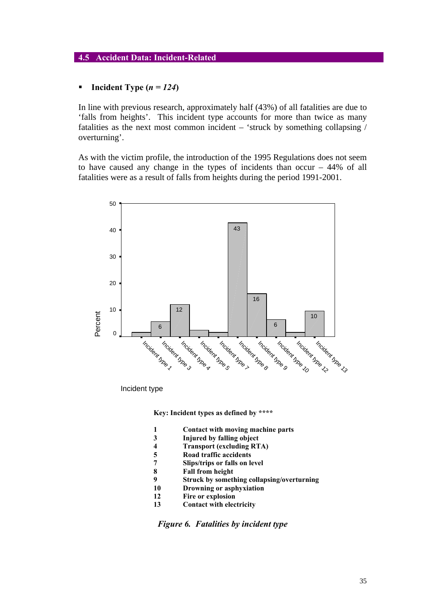### **4.5 Accident Data: Incident-Related**

#### $\blacksquare$  Incident Type  $(n = 124)$

In line with previous research, approximately half (43%) of all fatalities are due to 'falls from heights'. This incident type accounts for more than twice as many fatalities as the next most common incident – 'struck by something collapsing / overturning'.

As with the victim profile, the introduction of the 1995 Regulations does not seem to have caused any change in the types of incidents than occur – 44% of all fatalities were as a result of falls from heights during the period 1991-2001.



Incident type

**Key: Incident types as defined by \*\*\*\***

- **1 Contact with moving machine parts**
- **3 Injured by falling object**
- **4 Transport (excluding RTA)**
- **5 Road traffic accidents**
- **7 Slips/trips or falls on level**
- **8 Fall from height**
- **9 Struck by something collapsing/overturning**
- **10 Drowning or asphyxiation**
- **12 Fire or explosion**
- **13 Contact with electricity**

*Figure 6. Fatalities by incident type*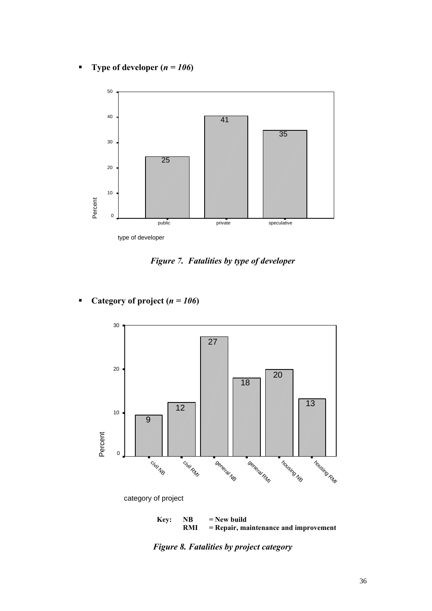**Figure 1** Type of developer  $(n = 106)$ 



*Figure 7. Fatalities by type of developer*

• Category of project  $(n = 106)$ 



= Repair, maintenance and improvement

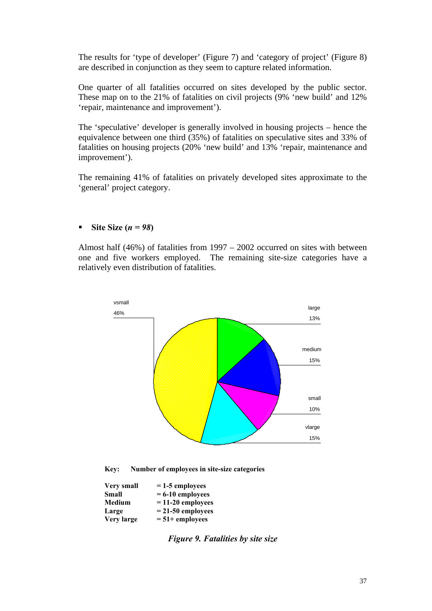The results for 'type of developer' (Figure 7) and 'category of project' (Figure 8) are described in conjunction as they seem to capture related information.

One quarter of all fatalities occurred on sites developed by the public sector. These map on to the 21% of fatalities on civil projects (9% 'new build' and 12% 'repair, maintenance and improvement').

The 'speculative' developer is generally involved in housing projects – hence the equivalence between one third (35%) of fatalities on speculative sites and 33% of fatalities on housing projects (20% 'new build' and 13% 'repair, maintenance and improvement').

The remaining 41% of fatalities on privately developed sites approximate to the 'general' project category.

## **s** Site Size  $(n = 98)$

Almost half (46%) of fatalities from 1997 – 2002 occurred on sites with between one and five workers employed. The remaining site-size categories have a relatively even distribution of fatalities.



**Key: Number of employees in site-size categories**

| <b>Very small</b> | $= 1-5$ employees   |
|-------------------|---------------------|
| <b>Small</b>      | $= 6-10$ employees  |
| <b>Medium</b>     | $= 11-20$ employees |
| Large             | $= 21-50$ employees |
| Very large        | $= 51 +$ employees  |

*Figure 9. Fatalities by site size*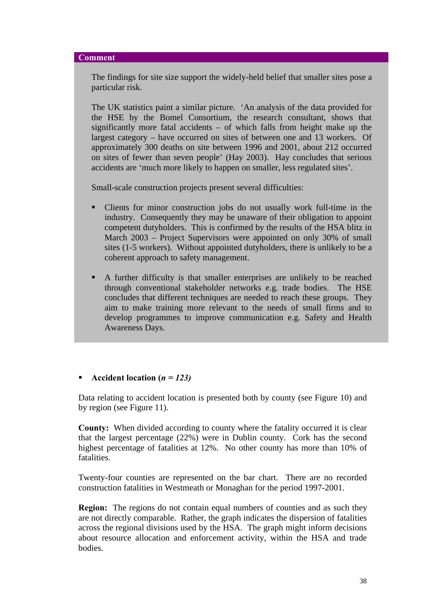#### **Comment**

The findings for site size support the widely-held belief that smaller sites pose a particular risk.

The UK statistics paint a similar picture. 'An analysis of the data provided for the HSE by the Bomel Consortium, the research consultant, shows that significantly more fatal accidents – of which falls from height make up the largest category – have occurred on sites of between one and 13 workers. Of approximately 300 deaths on site between 1996 and 2001, about 212 occurred on sites of fewer than seven people' (Hay 2003). Hay concludes that serious accidents are 'much more likely to happen on smaller, less regulated sites'.

Small-scale construction projects present several difficulties:

- Clients for minor construction jobs do not usually work full-time in the industry. Consequently they may be unaware of their obligation to appoint competent dutyholders. This is confirmed by the results of the HSA blitz in March 2003 – Project Supervisors were appointed on only 30% of small sites (1-5 workers). Without appointed dutyholders, there is unlikely to be a coherent approach to safety management.
- ß A further difficulty is that smaller enterprises are unlikely to be reached through conventional stakeholder networks e.g. trade bodies. The HSE concludes that different techniques are needed to reach these groups. They aim to make training more relevant to the needs of small firms and to develop programmes to improve communication e.g. Safety and Health Awareness Days.

## ß **Accident location (***n = 123)*

Data relating to accident location is presented both by county (see Figure 10) and by region (see Figure 11).

**County:** When divided according to county where the fatality occurred it is clear that the largest percentage (22%) were in Dublin county. Cork has the second highest percentage of fatalities at 12%. No other county has more than 10% of fatalities.

Twenty-four counties are represented on the bar chart. There are no recorded construction fatalities in Westmeath or Monaghan for the period 1997-2001.

**Region:** The regions do not contain equal numbers of counties and as such they are not directly comparable. Rather, the graph indicates the dispersion of fatalities across the regional divisions used by the HSA. The graph might inform decisions about resource allocation and enforcement activity, within the HSA and trade bodies.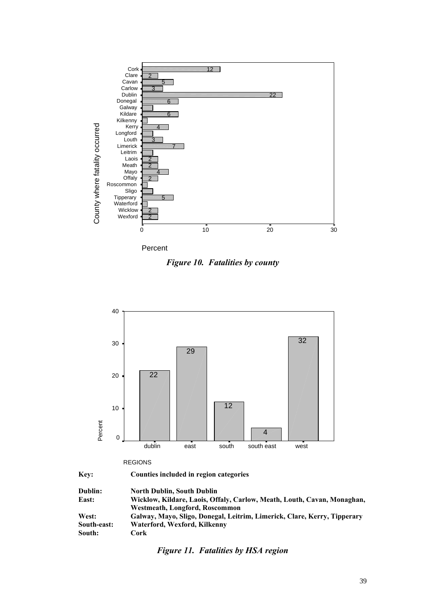

Percent

*Figure 10. Fatalities by county*



|  | .<br>M.<br>۰. | v |  |
|--|---------------|---|--|
|  |               |   |  |
|  |               |   |  |
|  |               |   |  |

**Key: Counties included in region categories**

| Dublin:     | <b>North Dublin, South Dublin</b>                                        |
|-------------|--------------------------------------------------------------------------|
| East:       | Wicklow, Kildare, Laois, Offaly, Carlow, Meath, Louth, Cavan, Monaghan,  |
|             | Westmeath, Longford, Roscommon                                           |
| West:       | Galway, Mayo, Sligo, Donegal, Leitrim, Limerick, Clare, Kerry, Tipperary |
| South-east: | Waterford, Wexford, Kilkenny                                             |
| South:      | Cork                                                                     |

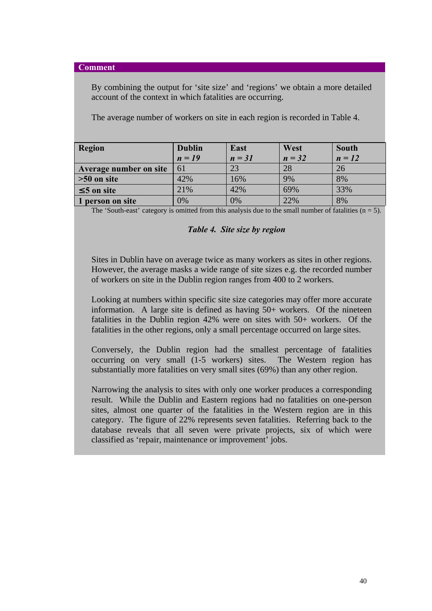#### **Comment**

By combining the output for 'site size' and 'regions' we obtain a more detailed account of the context in which fatalities are occurring.

The average number of workers on site in each region is recorded in Table 4.

| Region                 | <b>Dublin</b> | East     | West     | <b>South</b> |
|------------------------|---------------|----------|----------|--------------|
|                        | $n = 19$      | $n = 31$ | $n = 32$ | $n = 12$     |
| Average number on site | 61            | 23       | 28       | 26           |
| $\geq 50$ on site      | 42%           | 16%      | 9%       | 8%           |
| £5 on site             | 21%           | 42%      | 69%      | 33%          |
| 1 person on site       | 0%            | 0%       | 22%      | 8%           |

The 'South-east' category is omitted from this analysis due to the small number of fatalities  $(n = 5)$ .

#### *Table 4. Site size by region*

Sites in Dublin have on average twice as many workers as sites in other regions. However, the average masks a wide range of site sizes e.g. the recorded number of workers on site in the Dublin region ranges from 400 to 2 workers.

Looking at numbers within specific site size categories may offer more accurate information. A large site is defined as having 50+ workers. Of the nineteen fatalities in the Dublin region 42% were on sites with 50+ workers. Of the fatalities in the other regions, only a small percentage occurred on large sites.

Conversely, the Dublin region had the smallest percentage of fatalities occurring on very small (1-5 workers) sites. The Western region has substantially more fatalities on very small sites (69%) than any other region.

Narrowing the analysis to sites with only one worker produces a corresponding result. While the Dublin and Eastern regions had no fatalities on one-person sites, almost one quarter of the fatalities in the Western region are in this category. The figure of 22% represents seven fatalities. Referring back to the database reveals that all seven were private projects, six of which were classified as 'repair, maintenance or improvement' jobs.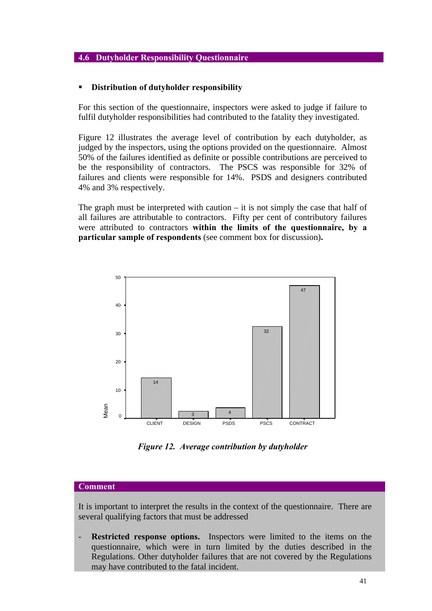### **4.6 Dutyholder Responsibility Questionnaire**

#### ß **Distribution of dutyholder responsibility**

For this section of the questionnaire, inspectors were asked to judge if failure to fulfil dutyholder responsibilities had contributed to the fatality they investigated.

Figure 12 illustrates the average level of contribution by each dutyholder, as judged by the inspectors, using the options provided on the questionnaire. Almost 50% of the failures identified as definite or possible contributions are perceived to be the responsibility of contractors. The PSCS was responsible for 32% of failures and clients were responsible for 14%. PSDS and designers contributed 4% and 3% respectively.

The graph must be interpreted with caution  $-$  it is not simply the case that half of all failures are attributable to contractors. Fifty per cent of contributory failures were attributed to contractors **within the limits of the questionnaire, by a particular sample of respondents** (see comment box for discussion)**.**



*Figure 12. Average contribution by dutyholder*

### **Comment**

It is important to interpret the results in the context of the questionnaire. There are several qualifying factors that must be addressed

**Restricted response options.** Inspectors were limited to the items on the questionnaire, which were in turn limited by the duties described in the Regulations. Other dutyholder failures that are not covered by the Regulations may have contributed to the fatal incident.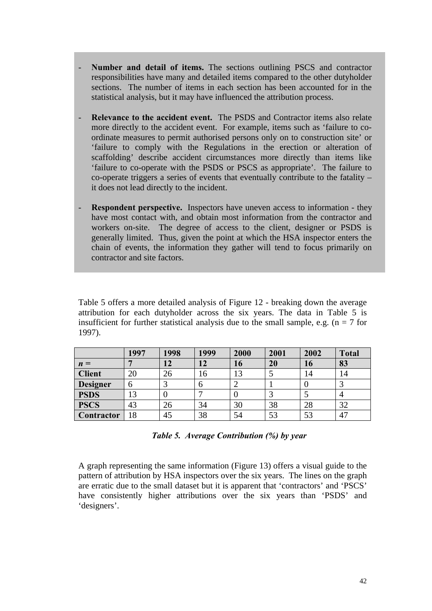- Number and detail of items. The sections outlining PSCS and contractor responsibilities have many and detailed items compared to the other dutyholder sections. The number of items in each section has been accounted for in the statistical analysis, but it may have influenced the attribution process.
- **Relevance to the accident event.** The PSDS and Contractor items also relate more directly to the accident event. For example, items such as 'failure to coordinate measures to permit authorised persons only on to construction site' or 'failure to comply with the Regulations in the erection or alteration of scaffolding' describe accident circumstances more directly than items like 'failure to co-operate with the PSDS or PSCS as appropriate'. The failure to  $co$ -operate triggers a series of events that eventually contribute to the fatality – it does not lead directly to the incident.
- **Respondent perspective.** Inspectors have uneven access to information they have most contact with, and obtain most information from the contractor and workers on-site. The degree of access to the client, designer or PSDS is generally limited. Thus, given the point at which the HSA inspector enters the chain of events, the information they gather will tend to focus primarily on contractor and site factors.

Table 5 offers a more detailed analysis of Figure 12 - breaking down the average attribution for each dutyholder across the six years. The data in Table 5 is insufficient for further statistical analysis due to the small sample, e.g. ( $n = 7$  for 1997).

|                   | 1997 | 1998 | 1999 | 2000                | 2001 | 2002 | <b>Total</b> |
|-------------------|------|------|------|---------------------|------|------|--------------|
| $n =$             |      | 12   | 12   | 16                  | 20   | 16   | 83           |
| <b>Client</b>     | 20   | 26   | 16   | 13                  |      | 14   | 14           |
| <b>Designer</b>   | h    |      | n    | $\overline{ }$<br>∠ |      |      |              |
| <b>PSDS</b>       | 13   |      |      | v                   |      |      |              |
| <b>PSCS</b>       | 43   | 26   | 34   | 30                  | 38   | 28   | 32           |
| <b>Contractor</b> | 18   | 45   | 38   | 54                  | 53   | 53   | 47           |

*Table 5. Average Contribution (%) by year*

A graph representing the same information (Figure 13) offers a visual guide to the pattern of attribution by HSA inspectors over the six years. The lines on the graph are erratic due to the small dataset but it is apparent that 'contractors' and 'PSCS' have consistently higher attributions over the six years than 'PSDS' and 'designers'.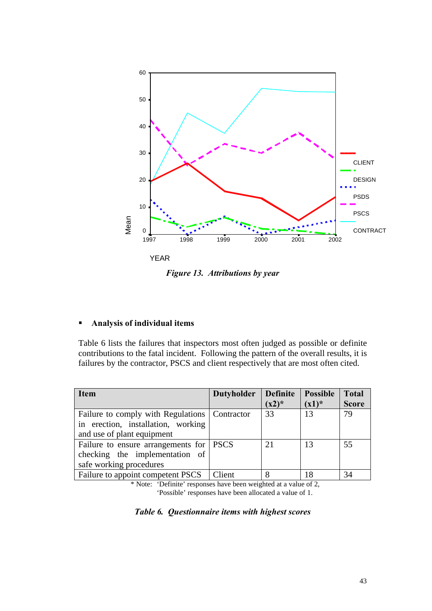

*Figure 13. Attributions by year*

## ß **Analysis of individual items**

Table 6 lists the failures that inspectors most often judged as possible or definite contributions to the fatal incident. Following the pattern of the overall results, it is failures by the contractor, PSCS and client respectively that are most often cited.

| <b>Item</b>                                     | <b>Dutyholder</b> | <b>Definite</b> | <b>Possible</b> | <b>Total</b> |
|-------------------------------------------------|-------------------|-----------------|-----------------|--------------|
|                                                 |                   | $(x2)^*$        | $(x1)^*$        | <b>Score</b> |
| Failure to comply with Regulations   Contractor |                   | 33              | 13              | 79           |
| in erection, installation, working              |                   |                 |                 |              |
| and use of plant equipment                      |                   |                 |                 |              |
| Failure to ensure arrangements for   PSCS       |                   | 21              | 13              | 55           |
| checking the implementation of                  |                   |                 |                 |              |
| safe working procedures                         |                   |                 |                 |              |
| Failure to appoint competent PSCS               | Client            | 8               | 18              | 34           |

\* Note: 'Definite' responses have been weighted at a value of 2, 'Possible' responses have been allocated a value of 1.

## *Table 6. Questionnaire items with highest scores*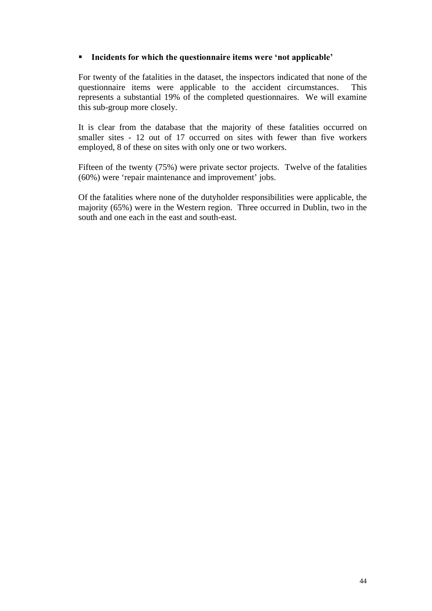## ß **Incidents for which the questionnaire items were 'not applicable'**

For twenty of the fatalities in the dataset, the inspectors indicated that none of the questionnaire items were applicable to the accident circumstances. This represents a substantial 19% of the completed questionnaires. We will examine this sub-group more closely.

It is clear from the database that the majority of these fatalities occurred on smaller sites - 12 out of 17 occurred on sites with fewer than five workers employed, 8 of these on sites with only one or two workers.

Fifteen of the twenty (75%) were private sector projects. Twelve of the fatalities (60%) were 'repair maintenance and improvement' jobs.

Of the fatalities where none of the dutyholder responsibilities were applicable, the majority (65%) were in the Western region. Three occurred in Dublin, two in the south and one each in the east and south-east.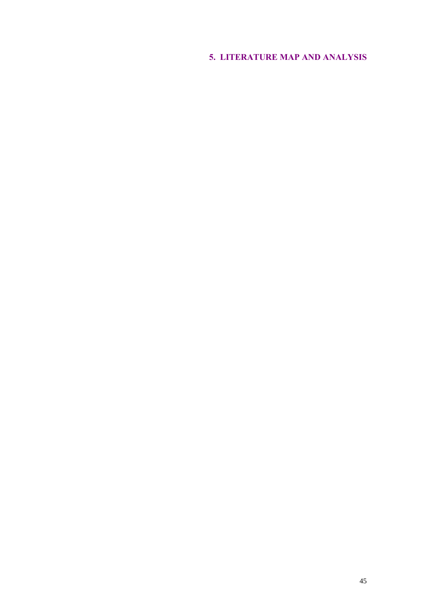# **5. LITERATURE MAP AND ANALYSIS**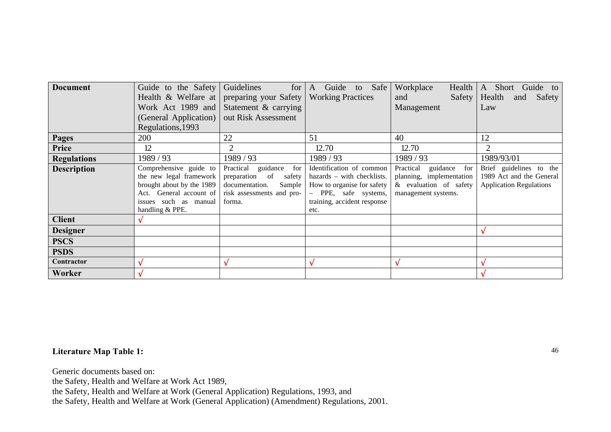| <b>Document</b>    | Guide to the Safety       | Guidelines<br>for            | Guide to Safe<br>A             | Workplace<br>Health       | Short Guide to<br>A            |
|--------------------|---------------------------|------------------------------|--------------------------------|---------------------------|--------------------------------|
|                    | Health & Welfare at       | preparing your Safety        | <b>Working Practices</b>       | Safety<br>and             | Health<br>Safety<br>and        |
|                    | Work Act 1989 and         | Statement & carrying         |                                | Management                | Law                            |
|                    | (General Application)     | out Risk Assessment          |                                |                           |                                |
|                    | Regulations, 1993         |                              |                                |                           |                                |
| <b>Pages</b>       | 200                       | 22                           | 51                             | 40                        | 12                             |
| Price              | 12                        | $\mathcal{D}_{\cdot}$        | 12.70                          | 12.70                     |                                |
| <b>Regulations</b> | 1989/93                   | 1989/93                      | 1989/93                        | 1989/93                   | 1989/93/01                     |
| <b>Description</b> | Comprehensive guide to    | Practical<br>guidance<br>for | Identification of common       | Practical<br>guidance for | Brief guidelines to the        |
|                    | the new legal framework   | preparation<br>of<br>safety  | hazards – with checklists.     | planning, implementation  | 1989 Act and the General       |
|                    | brought about by the 1989 | documentation.<br>Sample     | How to organise for safety     | & evaluation of safety    | <b>Application Regulations</b> |
|                    | Act. General account of   | risk assessments and pro-    | PPE, safe systems,<br>$\equiv$ | management systems.       |                                |
|                    | issues such as manual     | forma.                       | training, accident response    |                           |                                |
|                    | handling & PPE.           |                              | etc.                           |                           |                                |
| <b>Client</b>      | Ö                         |                              |                                |                           |                                |
| <b>Designer</b>    |                           |                              |                                |                           |                                |
| <b>PSCS</b>        |                           |                              |                                |                           |                                |
| <b>PSDS</b>        |                           |                              |                                |                           |                                |
| Contractor         | Ö                         | O                            | Ö                              |                           |                                |
| Worker             | Ö                         |                              |                                |                           |                                |

## **Literature Map Table 1:**

Generic documents based on:

the Safety, Health and Welfare at Work Act 1989,

the Safety, Health and Welfare at Work (General Application) Regulations, 1993, and

the Safety, Health and Welfare at Work (General Application) (Amendment) Regulations, 2001.

46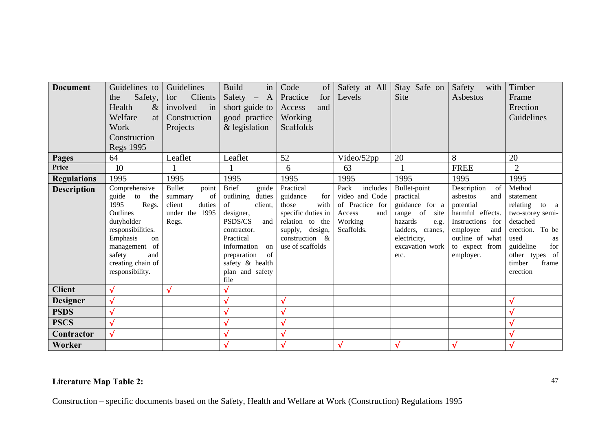| <b>Document</b>                                           | Guidelines to<br>Safety,<br>the<br>Health<br>$\&$<br>Welfare<br>at<br>Work<br>Construction<br><b>Regs 1995</b>                                                                                               | Guidelines<br>Clients<br>for<br>involved<br>in<br>Construction<br>Projects                          | <b>Build</b><br>in<br>Safety $- A$<br>short guide to<br>good practice<br>& legislation                                                                                                                                        | Code<br>of<br>Practice<br>for<br>and<br>Access<br>Working<br>Scaffolds                                                                                  | Safety at All<br>Levels                                                                                 | Stay Safe on<br><b>Site</b>                                                                                                                               | Safety<br>with<br>Asbestos                                                                                                                                             | Timber<br>Frame<br>Erection<br>Guidelines                                                                                                                                             |
|-----------------------------------------------------------|--------------------------------------------------------------------------------------------------------------------------------------------------------------------------------------------------------------|-----------------------------------------------------------------------------------------------------|-------------------------------------------------------------------------------------------------------------------------------------------------------------------------------------------------------------------------------|---------------------------------------------------------------------------------------------------------------------------------------------------------|---------------------------------------------------------------------------------------------------------|-----------------------------------------------------------------------------------------------------------------------------------------------------------|------------------------------------------------------------------------------------------------------------------------------------------------------------------------|---------------------------------------------------------------------------------------------------------------------------------------------------------------------------------------|
| Pages<br>Price                                            | 64<br>10                                                                                                                                                                                                     | Leaflet                                                                                             | Leaflet                                                                                                                                                                                                                       | 52                                                                                                                                                      | Video/52pp                                                                                              | 20                                                                                                                                                        | 8                                                                                                                                                                      | 20<br>$\overline{2}$                                                                                                                                                                  |
|                                                           |                                                                                                                                                                                                              |                                                                                                     |                                                                                                                                                                                                                               | 6                                                                                                                                                       | 63                                                                                                      |                                                                                                                                                           | <b>FREE</b>                                                                                                                                                            |                                                                                                                                                                                       |
| <b>Regulations</b><br><b>Description</b><br><b>Client</b> | 1995<br>Comprehensive<br>guide<br>to<br>the<br>1995<br>Regs.<br>Outlines<br>dutyholder<br>responsibilities.<br>Emphasis<br>on<br>management of<br>safety<br>and<br>creating chain of<br>responsibility.<br>Ö | 1995<br>point<br><b>Bullet</b><br>of<br>summary<br>duties<br>client<br>under the 1995<br>Regs.<br>Ö | 1995<br><b>Brief</b><br>guide<br>outlining<br>duties<br>of<br>client,<br>designer,<br>PSDS/CS<br>and<br>contractor.<br>Practical<br>information<br>on<br>of<br>preparation<br>safety & health<br>plan and safety<br>file<br>Ö | 1995<br>Practical<br>guidance<br>for<br>with<br>those<br>specific duties in<br>relation to the<br>supply, design,<br>construction &<br>use of scaffolds | 1995<br>Pack<br>includes<br>video and Code<br>of Practice for<br>Access<br>and<br>Working<br>Scaffolds. | 1995<br>Bullet-point<br>practical<br>guidance for a<br>range of<br>site<br>hazards<br>e.g.<br>ladders, cranes,<br>electricity,<br>excavation work<br>etc. | 1995<br>Description<br>of<br>asbestos<br>and<br>potential<br>harmful effects.<br>Instructions for<br>employee<br>and<br>outline of what<br>to expect from<br>employer. | 1995<br>Method<br>statement<br>relating<br>to a<br>two-storey semi-<br>detached<br>erection. To be<br>used<br>as<br>guideline<br>for<br>other types of<br>timber<br>frame<br>erection |
|                                                           | Ö                                                                                                                                                                                                            |                                                                                                     |                                                                                                                                                                                                                               | Ö                                                                                                                                                       |                                                                                                         |                                                                                                                                                           |                                                                                                                                                                        | Ö                                                                                                                                                                                     |
| <b>Designer</b>                                           | Ö                                                                                                                                                                                                            |                                                                                                     | O<br>Ö                                                                                                                                                                                                                        | Ö                                                                                                                                                       |                                                                                                         |                                                                                                                                                           |                                                                                                                                                                        |                                                                                                                                                                                       |
| <b>PSDS</b>                                               |                                                                                                                                                                                                              |                                                                                                     |                                                                                                                                                                                                                               |                                                                                                                                                         |                                                                                                         |                                                                                                                                                           |                                                                                                                                                                        |                                                                                                                                                                                       |
| <b>PSCS</b>                                               |                                                                                                                                                                                                              |                                                                                                     |                                                                                                                                                                                                                               | Ö                                                                                                                                                       |                                                                                                         |                                                                                                                                                           |                                                                                                                                                                        |                                                                                                                                                                                       |
| Contractor                                                | Ö                                                                                                                                                                                                            |                                                                                                     | U                                                                                                                                                                                                                             | Ö                                                                                                                                                       |                                                                                                         |                                                                                                                                                           |                                                                                                                                                                        | Ö                                                                                                                                                                                     |
| Worker                                                    |                                                                                                                                                                                                              |                                                                                                     | Ö                                                                                                                                                                                                                             | Ö                                                                                                                                                       | Ö                                                                                                       | Ö                                                                                                                                                         | Ö                                                                                                                                                                      | Ö                                                                                                                                                                                     |

# **Literature Map Table 2:**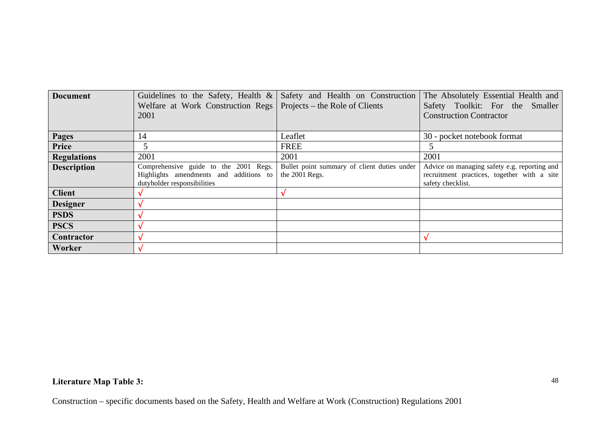| <b>Document</b>    |                                                                    | Guidelines to the Safety, Health $\&$ Safety and Health on Construction | The Absolutely Essential Health and          |
|--------------------|--------------------------------------------------------------------|-------------------------------------------------------------------------|----------------------------------------------|
|                    | Welfare at Work Construction Regs   Projects – the Role of Clients |                                                                         | Safety Toolkit: For the Smaller              |
|                    | 2001                                                               |                                                                         | <b>Construction Contractor</b>               |
|                    |                                                                    |                                                                         |                                              |
| <b>Pages</b>       | 14                                                                 | Leaflet                                                                 | 30 - pocket notebook format                  |
| Price              |                                                                    | <b>FREE</b>                                                             |                                              |
| <b>Regulations</b> | 2001                                                               | 2001                                                                    | 2001                                         |
| <b>Description</b> | Comprehensive guide to the 2001 Regs.                              | Bullet point summary of client duties under                             | Advice on managing safety e.g. reporting and |
|                    | Highlights amendments and additions to                             | the 2001 Regs.                                                          | recruitment practices, together with a site  |
|                    | dutyholder responsibilities                                        |                                                                         | safety checklist.                            |
| <b>Client</b>      |                                                                    |                                                                         |                                              |
| <b>Designer</b>    | Ö                                                                  |                                                                         |                                              |
| <b>PSDS</b>        | O                                                                  |                                                                         |                                              |
| <b>PSCS</b>        |                                                                    |                                                                         |                                              |
| Contractor         | 0                                                                  |                                                                         |                                              |
| Worker             |                                                                    |                                                                         |                                              |

# **Literature Map Table 3:**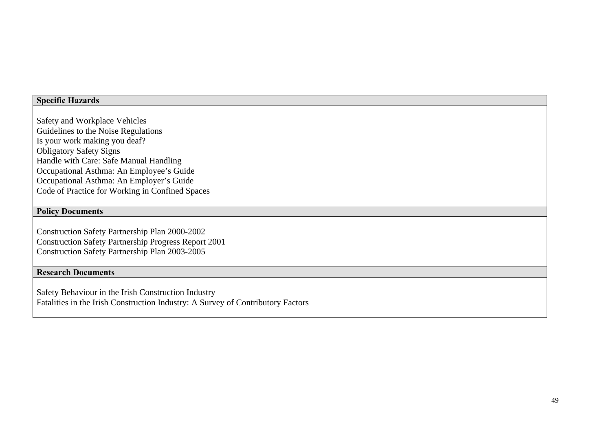## **Specific Hazards**

Safety and Workplace Vehicles Guidelines to the Noise Regulations Is your work making you deaf? Obligatory Safety Signs Handle with Care: Safe Manual Handling Occupational Asthma: An Employee's Guide Occupational Asthma: An Employer's Guide Code of Practice for Working in Confined Spaces

#### **Policy Documents**

Construction Safety Partnership Plan 2000-2002 Construction Safety Partnership Progress Report 2001 Construction Safety Partnership Plan 2003-2005

## **Research Documents**

Safety Behaviour in the Irish Construction Industry Fatalities in the Irish Construction Industry: A Survey of Contributory Factors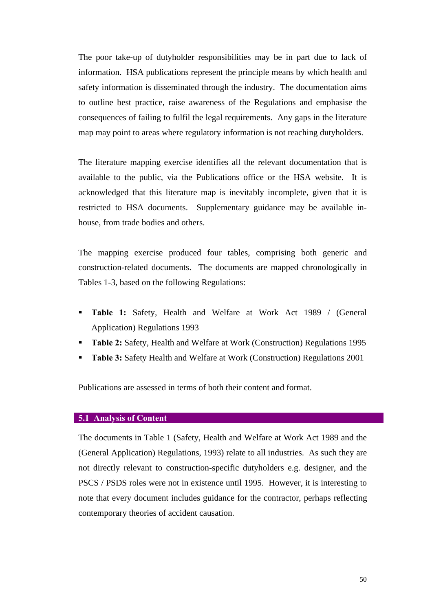The poor take-up of dutyholder responsibilities may be in part due to lack of information. HSA publications represent the principle means by which health and safety information is disseminated through the industry. The documentation aims to outline best practice, raise awareness of the Regulations and emphasise the consequences of failing to fulfil the legal requirements. Any gaps in the literature map may point to areas where regulatory information is not reaching dutyholders.

The literature mapping exercise identifies all the relevant documentation that is available to the public, via the Publications office or the HSA website. It is acknowledged that this literature map is inevitably incomplete, given that it is restricted to HSA documents. Supplementary guidance may be available inhouse, from trade bodies and others.

The mapping exercise produced four tables, comprising both generic and construction-related documents. The documents are mapped chronologically in Tables 1-3, based on the following Regulations:

- **Table 1:** Safety, Health and Welfare at Work Act 1989 / (General Application) Regulations 1993
- **Table 2:** Safety, Health and Welfare at Work (Construction) Regulations 1995
- **Table 3:** Safety Health and Welfare at Work (Construction) Regulations 2001

Publications are assessed in terms of both their content and format.

#### **5.1 Analysis of Content**

The documents in Table 1 (Safety, Health and Welfare at Work Act 1989 and the (General Application) Regulations, 1993) relate to all industries. As such they are not directly relevant to construction-specific dutyholders e.g. designer, and the PSCS / PSDS roles were not in existence until 1995. However, it is interesting to note that every document includes guidance for the contractor, perhaps reflecting contemporary theories of accident causation.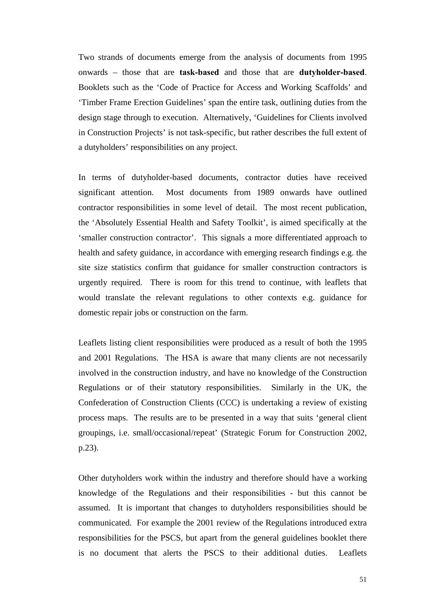Two strands of documents emerge from the analysis of documents from 1995 onwards – those that are **task-based** and those that are **dutyholder-based**. Booklets such as the 'Code of Practice for Access and Working Scaffolds' and 'Timber Frame Erection Guidelines' span the entire task, outlining duties from the design stage through to execution. Alternatively, 'Guidelines for Clients involved in Construction Projects' is not task-specific, but rather describes the full extent of a dutyholders' responsibilities on any project.

In terms of dutyholder-based documents, contractor duties have received significant attention. Most documents from 1989 onwards have outlined contractor responsibilities in some level of detail. The most recent publication, the 'Absolutely Essential Health and Safety Toolkit', is aimed specifically at the 'smaller construction contractor'. This signals a more differentiated approach to health and safety guidance, in accordance with emerging research findings e.g. the site size statistics confirm that guidance for smaller construction contractors is urgently required. There is room for this trend to continue, with leaflets that would translate the relevant regulations to other contexts e.g. guidance for domestic repair jobs or construction on the farm.

Leaflets listing client responsibilities were produced as a result of both the 1995 and 2001 Regulations. The HSA is aware that many clients are not necessarily involved in the construction industry, and have no knowledge of the Construction Regulations or of their statutory responsibilities. Similarly in the UK, the Confederation of Construction Clients (CCC) is undertaking a review of existing process maps. The results are to be presented in a way that suits 'general client groupings, i.e. small/occasional/repeat' (Strategic Forum for Construction 2002, p.23).

Other dutyholders work within the industry and therefore should have a working knowledge of the Regulations and their responsibilities - but this cannot be assumed. It is important that changes to dutyholders responsibilities should be communicated. For example the 2001 review of the Regulations introduced extra responsibilities for the PSCS, but apart from the general guidelines booklet there is no document that alerts the PSCS to their additional duties. Leaflets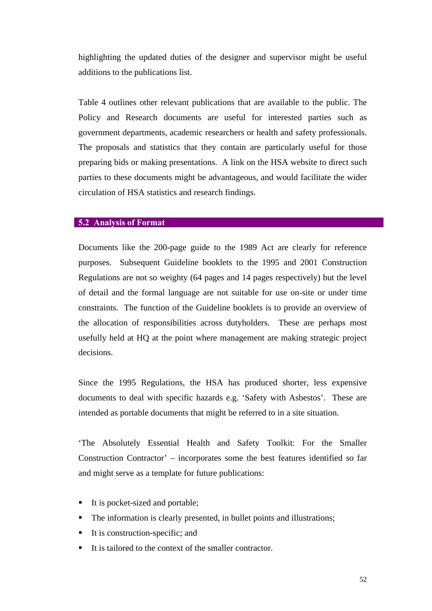highlighting the updated duties of the designer and supervisor might be useful additions to the publications list.

Table 4 outlines other relevant publications that are available to the public. The Policy and Research documents are useful for interested parties such as government departments, academic researchers or health and safety professionals. The proposals and statistics that they contain are particularly useful for those preparing bids or making presentations. A link on the HSA website to direct such parties to these documents might be advantageous, and would facilitate the wider circulation of HSA statistics and research findings.

#### **5.2 Analysis of Format**

Documents like the 200-page guide to the 1989 Act are clearly for reference purposes. Subsequent Guideline booklets to the 1995 and 2001 Construction Regulations are not so weighty (64 pages and 14 pages respectively) but the level of detail and the formal language are not suitable for use on-site or under time constraints. The function of the Guideline booklets is to provide an overview of the allocation of responsibilities across dutyholders. These are perhaps most usefully held at HQ at the point where management are making strategic project decisions.

Since the 1995 Regulations, the HSA has produced shorter, less expensive documents to deal with specific hazards e.g. 'Safety with Asbestos'. These are intended as portable documents that might be referred to in a site situation.

'The Absolutely Essential Health and Safety Toolkit: For the Smaller Construction Contractor' – incorporates some the best features identified so far and might serve as a template for future publications:

- It is pocket-sized and portable;
- The information is clearly presented, in bullet points and illustrations;
- $\blacksquare$  It is construction-specific; and
- It is tailored to the context of the smaller contractor.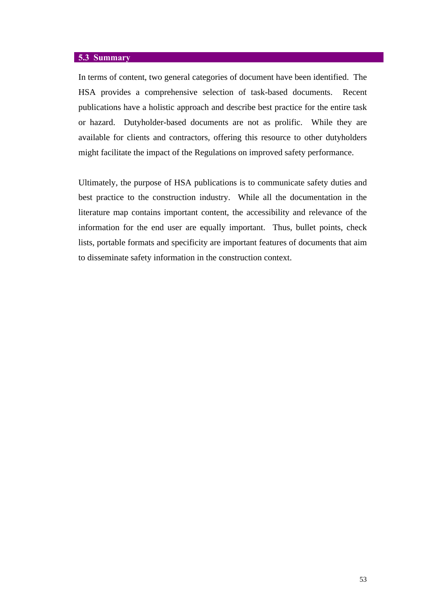## **5.3 Summary**

In terms of content, two general categories of document have been identified. The HSA provides a comprehensive selection of task-based documents. Recent publications have a holistic approach and describe best practice for the entire task or hazard. Dutyholder-based documents are not as prolific. While they are available for clients and contractors, offering this resource to other dutyholders might facilitate the impact of the Regulations on improved safety performance.

Ultimately, the purpose of HSA publications is to communicate safety duties and best practice to the construction industry. While all the documentation in the literature map contains important content, the accessibility and relevance of the information for the end user are equally important. Thus, bullet points, check lists, portable formats and specificity are important features of documents that aim to disseminate safety information in the construction context.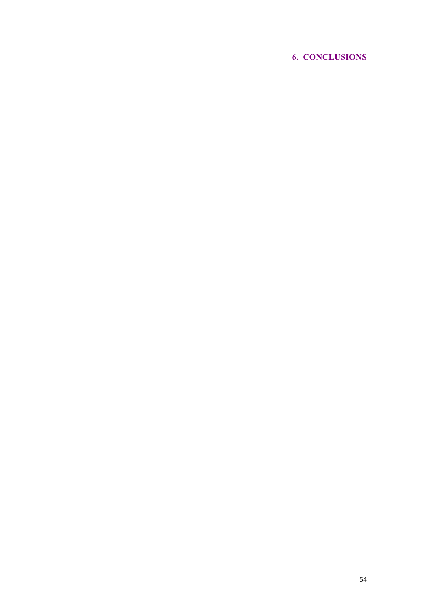# **6. CONCLUSIONS**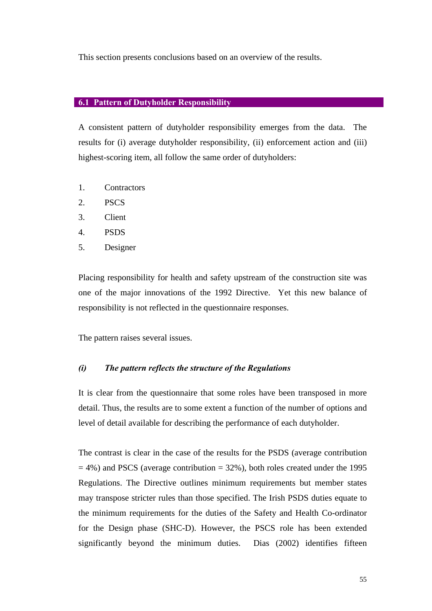This section presents conclusions based on an overview of the results.

#### **6.1 Pattern of Dutyholder Responsibility**

A consistent pattern of dutyholder responsibility emerges from the data. The results for (i) average dutyholder responsibility, (ii) enforcement action and (iii) highest-scoring item, all follow the same order of dutyholders:

- 1. Contractors
- 2. PSCS
- 3. Client
- 4. PSDS
- 5. Designer

Placing responsibility for health and safety upstream of the construction site was one of the major innovations of the 1992 Directive. Yet this new balance of responsibility is not reflected in the questionnaire responses.

The pattern raises several issues.

#### *(i) The pattern reflects the structure of the Regulations*

It is clear from the questionnaire that some roles have been transposed in more detail. Thus, the results are to some extent a function of the number of options and level of detail available for describing the performance of each dutyholder.

The contrast is clear in the case of the results for the PSDS (average contribution  $= 4\%$ ) and PSCS (average contribution  $= 32\%$ ), both roles created under the 1995 Regulations. The Directive outlines minimum requirements but member states may transpose stricter rules than those specified. The Irish PSDS duties equate to the minimum requirements for the duties of the Safety and Health Co-ordinator for the Design phase (SHC-D). However, the PSCS role has been extended significantly beyond the minimum duties. Dias (2002) identifies fifteen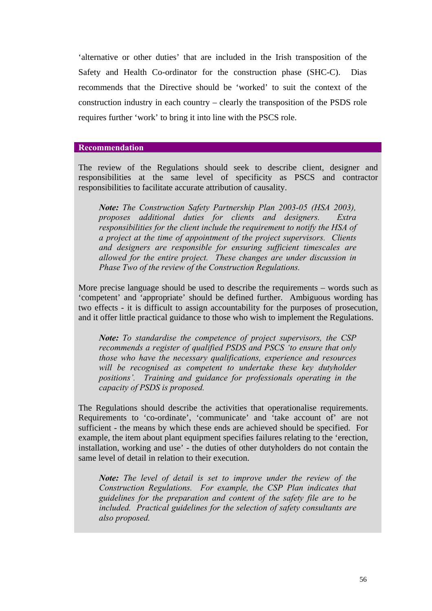'alternative or other duties' that are included in the Irish transposition of the Safety and Health Co-ordinator for the construction phase (SHC-C). Dias recommends that the Directive should be 'worked' to suit the context of the construction industry in each country – clearly the transposition of the PSDS role requires further 'work' to bring it into line with the PSCS role.

## **Recommendation**

The review of the Regulations should seek to describe client, designer and responsibilities at the same level of specificity as PSCS and contractor responsibilities to facilitate accurate attribution of causality.

*Note: The Construction Safety Partnership Plan 2003-05 (HSA 2003), proposes additional duties for clients and designers. Extra responsibilities for the client include the requirement to notify the HSA of a project at the time of appointment of the project supervisors. Clients and designers are responsible for ensuring sufficient timescales are allowed for the entire project. These changes are under discussion in Phase Two of the review of the Construction Regulations.*

More precise language should be used to describe the requirements – words such as 'competent' and 'appropriate' should be defined further. Ambiguous wording has two effects - it is difficult to assign accountability for the purposes of prosecution, and it offer little practical guidance to those who wish to implement the Regulations.

*Note: To standardise the competence of project supervisors, the CSP recommends a register of qualified PSDS and PSCS 'to ensure that only those who have the necessary qualifications, experience and resources will be recognised as competent to undertake these key dutyholder positions'. Training and guidance for professionals operating in the capacity of PSDS is proposed.*

The Regulations should describe the activities that operationalise requirements. Requirements to 'co-ordinate', 'communicate' and 'take account of' are not sufficient - the means by which these ends are achieved should be specified. For example, the item about plant equipment specifies failures relating to the 'erection, installation, working and use' - the duties of other dutyholders do not contain the same level of detail in relation to their execution.

*Note: The level of detail is set to improve under the review of the Construction Regulations. For example, the CSP Plan indicates that guidelines for the preparation and content of the safety file are to be included. Practical guidelines for the selection of safety consultants are also proposed.*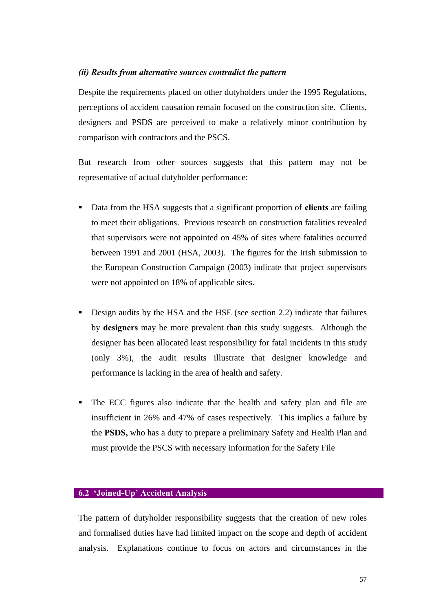#### *(ii) Results from alternative sources contradict the pattern*

Despite the requirements placed on other dutyholders under the 1995 Regulations, perceptions of accident causation remain focused on the construction site. Clients, designers and PSDS are perceived to make a relatively minor contribution by comparison with contractors and the PSCS.

But research from other sources suggests that this pattern may not be representative of actual dutyholder performance:

- ß Data from the HSA suggests that a significant proportion of **clients** are failing to meet their obligations. Previous research on construction fatalities revealed that supervisors were not appointed on 45% of sites where fatalities occurred between 1991 and 2001 (HSA, 2003). The figures for the Irish submission to the European Construction Campaign (2003) indicate that project supervisors were not appointed on 18% of applicable sites.
- ß Design audits by the HSA and the HSE (see section 2.2) indicate that failures by **designers** may be more prevalent than this study suggests. Although the designer has been allocated least responsibility for fatal incidents in this study (only 3%), the audit results illustrate that designer knowledge and performance is lacking in the area of health and safety.
- The ECC figures also indicate that the health and safety plan and file are insufficient in 26% and 47% of cases respectively. This implies a failure by the **PSDS,** who has a duty to prepare a preliminary Safety and Health Plan and must provide the PSCS with necessary information for the Safety File

#### **6.2 'Joined-Up' Accident Analysis**

The pattern of dutyholder responsibility suggests that the creation of new roles and formalised duties have had limited impact on the scope and depth of accident analysis. Explanations continue to focus on actors and circumstances in the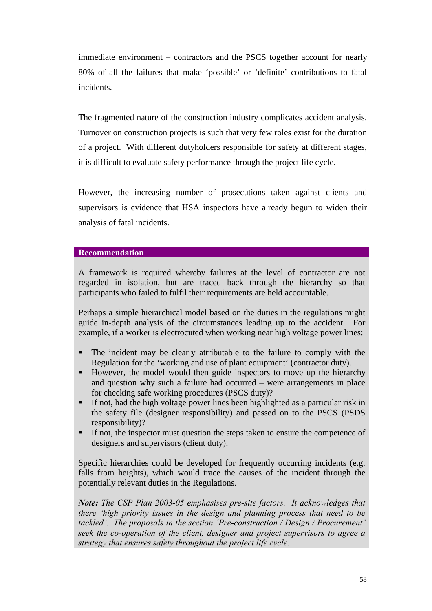immediate environment – contractors and the PSCS together account for nearly 80% of all the failures that make 'possible' or 'definite' contributions to fatal incidents.

The fragmented nature of the construction industry complicates accident analysis. Turnover on construction projects is such that very few roles exist for the duration of a project. With different dutyholders responsible for safety at different stages, it is difficult to evaluate safety performance through the project life cycle.

However, the increasing number of prosecutions taken against clients and supervisors is evidence that HSA inspectors have already begun to widen their analysis of fatal incidents.

## **Recommendation**

A framework is required whereby failures at the level of contractor are not regarded in isolation, but are traced back through the hierarchy so that participants who failed to fulfil their requirements are held accountable.

Perhaps a simple hierarchical model based on the duties in the regulations might guide in-depth analysis of the circumstances leading up to the accident. For example, if a worker is electrocuted when working near high voltage power lines:

- ß The incident may be clearly attributable to the failure to comply with the Regulation for the 'working and use of plant equipment' (contractor duty).
- However, the model would then guide inspectors to move up the hierarchy and question why such a failure had occurred – were arrangements in place for checking safe working procedures (PSCS duty)?
- **If not, had the high voltage power lines been highlighted as a particular risk in** the safety file (designer responsibility) and passed on to the PSCS (PSDS responsibility)?
- ß If not, the inspector must question the steps taken to ensure the competence of designers and supervisors (client duty).

Specific hierarchies could be developed for frequently occurring incidents (e.g. falls from heights), which would trace the causes of the incident through the potentially relevant duties in the Regulations.

*Note: The CSP Plan 2003-05 emphasises pre-site factors. It acknowledges that there 'high priority issues in the design and planning process that need to be tackled'. The proposals in the section 'Pre-construction / Design / Procurement' seek the co-operation of the client, designer and project supervisors to agree a strategy that ensures safety throughout the project life cycle.*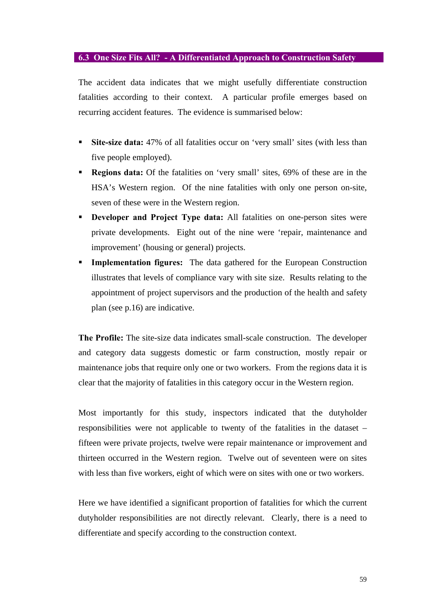#### **6.3 One Size Fits All? - A Differentiated Approach to Construction Safety**

The accident data indicates that we might usefully differentiate construction fatalities according to their context. A particular profile emerges based on recurring accident features. The evidence is summarised below:

- **Site-size data:** 47% of all fatalities occur on 'very small' sites (with less than five people employed).
- ß **Regions data:** Of the fatalities on 'very small' sites, 69% of these are in the HSA's Western region. Of the nine fatalities with only one person on-site, seven of these were in the Western region.
- **Developer and Project Type data:** All fatalities on one-person sites were private developments. Eight out of the nine were 'repair, maintenance and improvement' (housing or general) projects.
- **Implementation figures:** The data gathered for the European Construction illustrates that levels of compliance vary with site size. Results relating to the appointment of project supervisors and the production of the health and safety plan (see p.16) are indicative.

**The Profile:** The site-size data indicates small-scale construction. The developer and category data suggests domestic or farm construction, mostly repair or maintenance jobs that require only one or two workers. From the regions data it is clear that the majority of fatalities in this category occur in the Western region.

Most importantly for this study, inspectors indicated that the dutyholder responsibilities were not applicable to twenty of the fatalities in the dataset – fifteen were private projects, twelve were repair maintenance or improvement and thirteen occurred in the Western region. Twelve out of seventeen were on sites with less than five workers, eight of which were on sites with one or two workers.

Here we have identified a significant proportion of fatalities for which the current dutyholder responsibilities are not directly relevant. Clearly, there is a need to differentiate and specify according to the construction context.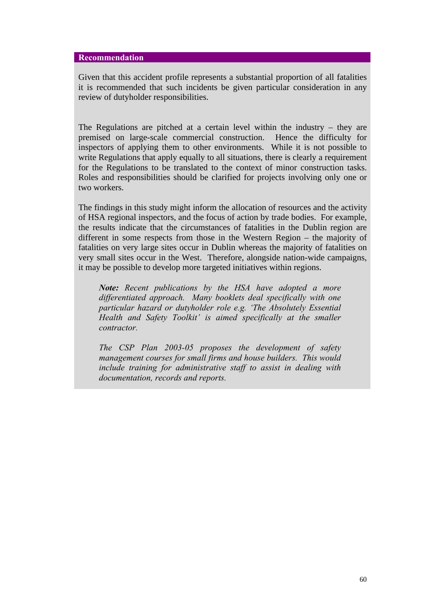#### **Recommendation**

Given that this accident profile represents a substantial proportion of all fatalities it is recommended that such incidents be given particular consideration in any review of dutyholder responsibilities.

The Regulations are pitched at a certain level within the industry – they are premised on large-scale commercial construction. Hence the difficulty for inspectors of applying them to other environments. While it is not possible to write Regulations that apply equally to all situations, there is clearly a requirement for the Regulations to be translated to the context of minor construction tasks. Roles and responsibilities should be clarified for projects involving only one or two workers.

The findings in this study might inform the allocation of resources and the activity of HSA regional inspectors, and the focus of action by trade bodies. For example, the results indicate that the circumstances of fatalities in the Dublin region are different in some respects from those in the Western Region – the majority of fatalities on very large sites occur in Dublin whereas the majority of fatalities on very small sites occur in the West. Therefore, alongside nation-wide campaigns, it may be possible to develop more targeted initiatives within regions.

*Note: Recent publications by the HSA have adopted a more differentiated approach. Many booklets deal specifically with one particular hazard or dutyholder role e.g. 'The Absolutely Essential Health and Safety Toolkit' is aimed specifically at the smaller contractor.*

*The CSP Plan 2003-05 proposes the development of safety management courses for small firms and house builders. This would include training for administrative staff to assist in dealing with documentation, records and reports.*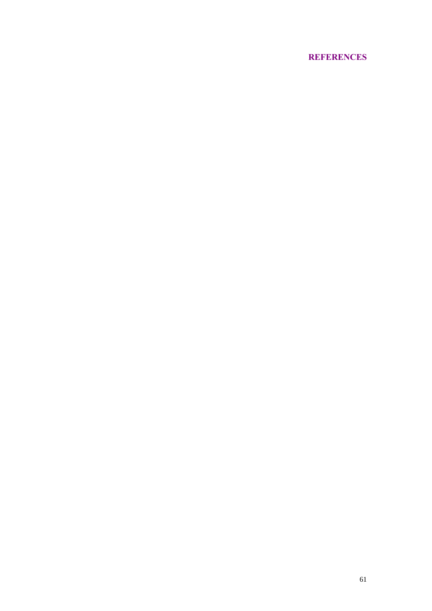# **REFERENCES**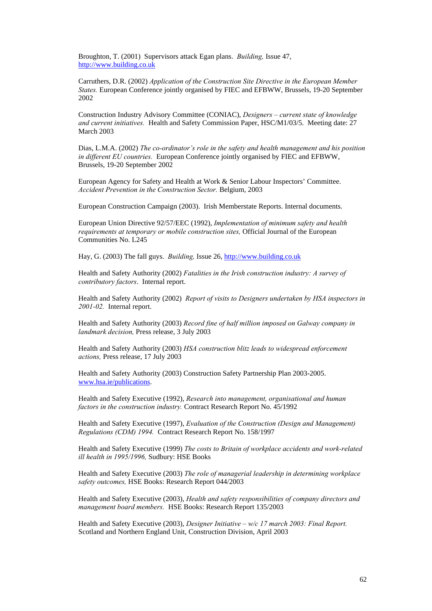Broughton, T. (2001) Supervisors attack Egan plans. *Building,* Issue 47, http://www.building.co.uk

Carruthers, D.R. (2002) *Application of the Construction Site Directive in the European Member States.* European Conference jointly organised by FIEC and EFBWW, Brussels, 19-20 September 2002

Construction Industry Advisory Committee (CONIAC), *Designers – current state of knowledge and current initiatives.* Health and Safety Commission Paper, HSC/M1/03/5. Meeting date: 27 March 2003

Dias, L.M.A. (2002) *The co-ordinator's role in the safety and health management and his position in different EU countries.* European Conference jointly organised by FIEC and EFBWW, Brussels, 19-20 September 2002

European Agency for Safety and Health at Work & Senior Labour Inspectors' Committee. *Accident Prevention in the Construction Sector.* Belgium, 2003

European Construction Campaign (2003). Irish Memberstate Reports. Internal documents.

European Union Directive 92/57/EEC (1992), *Implementation of minimum safety and health requirements at temporary or mobile construction sites,* Official Journal of the European Communities No. L245

Hay, G. (2003) The fall guys. *Building,* Issue 26, http://www.building.co.uk

Health and Safety Authority (2002) *Fatalities in the Irish construction industry: A survey of contributory factors*. Internal report.

Health and Safety Authority (2002) *Report of visits to Designers undertaken by HSA inspectors in 2001-02.* Internal report.

Health and Safety Authority (2003) *Record fine of half million imposed on Galway company in landmark decision,* Press release, 3 July 2003

Health and Safety Authority (2003) *HSA construction blitz leads to widespread enforcement actions,* Press release, 17 July 2003

Health and Safety Authority (2003) Construction Safety Partnership Plan 2003-2005. www.hsa.ie/publications.

Health and Safety Executive (1992), *Research into management, organisational and human factors in the construction industry.* Contract Research Report No. 45/1992

Health and Safety Executive (1997), *Evaluation of the Construction (Design and Management) Regulations (CDM) 1994.* Contract Research Report No. 158/1997

Health and Safety Executive (1999) *The costs to Britain of workplace accidents and work-related ill health in 1995/1996,* Sudbury: HSE Books

Health and Safety Executive (2003) *The role of managerial leadership in determining workplace safety outcomes,* HSE Books: Research Report 044/2003

Health and Safety Executive (2003), *Health and safety responsibilities of company directors and management board members.* HSE Books: Research Report 135/2003

Health and Safety Executive (2003), *Designer Initiative – w/c 17 march 2003: Final Report.* Scotland and Northern England Unit, Construction Division, April 2003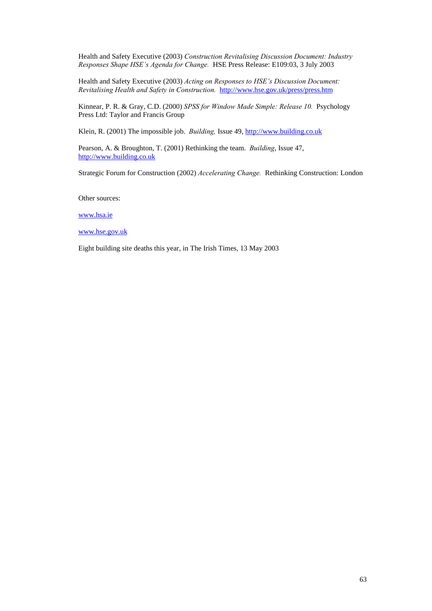Health and Safety Executive (2003) *Construction Revitalising Discussion Document: Industry Responses Shape HSE's Agenda for Change.* HSE Press Release: E109:03, 3 July 2003

Health and Safety Executive (2003) *Acting on Responses to HSE's Discussion Document: Revitalising Health and Safety in Construction.* http://www.hse.gov.uk/press/press.htm

Kinnear, P. R. & Gray, C.D. (2000) *SPSS for Window Made Simple: Release 10.* Psychology Press Ltd: Taylor and Francis Group

Klein, R. (2001) The impossible job. *Building,* Issue 49, http://www.building.co.uk

Pearson, A. & Broughton, T. (2001) Rethinking the team. *Building*, Issue 47, http://www.building.co.uk

Strategic Forum for Construction (2002) *Accelerating Change.* Rethinking Construction: London

Other sources:

www.hsa.ie

www.hse.gov.uk

Eight building site deaths this year, in The Irish Times, 13 May 2003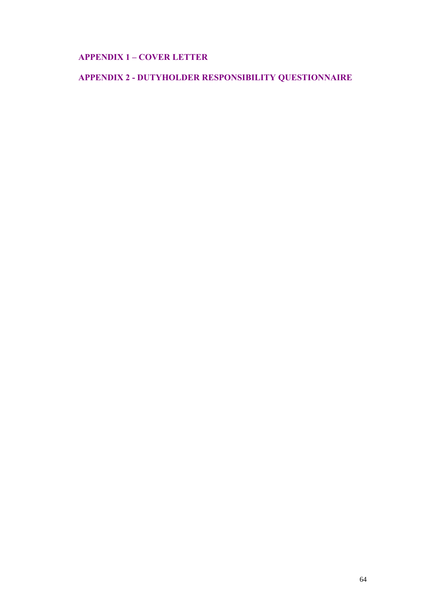# **APPENDIX 1 – COVER LETTER**

# **APPENDIX 2 - DUTYHOLDER RESPONSIBILITY QUESTIONNAIRE**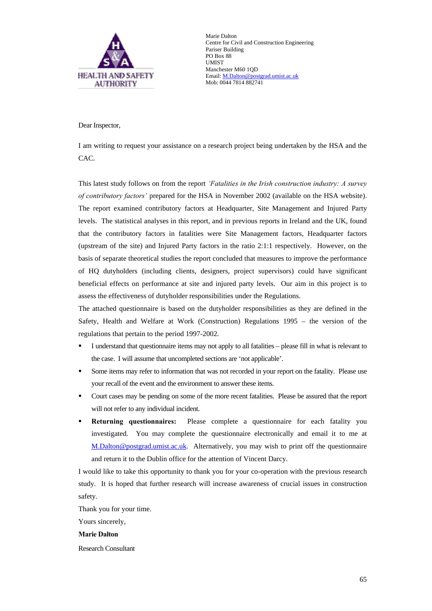

Marie Dalton Centre for Civil and Construction Engineering Pariser Building PO Box 88 UMIST Manchester M60 1QD Email: M.Dalton@postgrad.umist.ac.uk Mob: 0044 7814 882741

Dear Inspector,

I am writing to request your assistance on a research project being undertaken by the HSA and the CAC.

This latest study follows on from the report *'Fatalities in the Irish construction industry: A survey of contributory factors'* prepared for the HSA in November 2002 (available on the HSA website). The report examined contributory factors at Headquarter, Site Management and Injured Party levels. The statistical analyses in this report, and in previous reports in Ireland and the UK, found that the contributory factors in fatalities were Site Management factors, Headquarter factors (upstream of the site) and Injured Party factors in the ratio 2:1:1 respectively. However, on the basis of separate theoretical studies the report concluded that measures to improve the performance of HQ dutyholders (including clients, designers, project supervisors) could have significant beneficial effects on performance at site and injured party levels. Our aim in this project is to assess the effectiveness of dutyholder responsibilities under the Regulations.

The attached questionnaire is based on the dutyholder responsibilities as they are defined in the Safety, Health and Welfare at Work (Construction) Regulations 1995 – the version of the regulations that pertain to the period 1997-2002.

- ß I understand that questionnaire items may not apply to all fatalities please fill in what is relevant to the case. I will assume that uncompleted sections are 'not applicable'.
- ß Some items may refer to information that was not recorded in your report on the fatality. Please use your recall of the event and the environment to answer these items.
- ß Court cases may be pending on some of the more recent fatalities. Please be assured that the report will not refer to any individual incident.
- ß **Returning questionnaires:** Please complete a questionnaire for each fatality you investigated. You may complete the questionnaire electronically and email it to me at M.Dalton@postgrad.umist.ac.uk. Alternatively, you may wish to print off the questionnaire and return it to the Dublin office for the attention of Vincent Darcy.

I would like to take this opportunity to thank you for your co-operation with the previous research study. It is hoped that further research will increase awareness of crucial issues in construction safety.

Thank you for your time.

Yours sincerely,

**Marie Dalton**

Research Consultant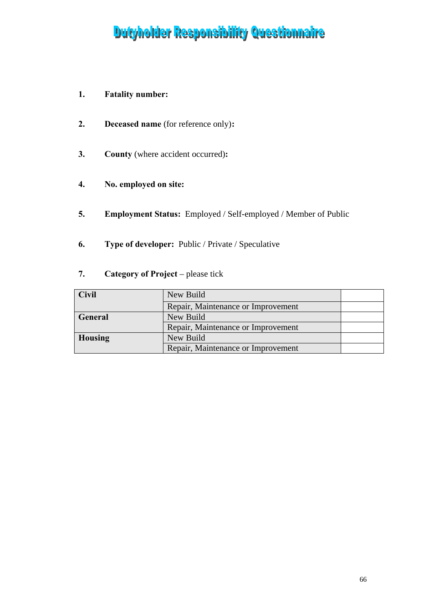# Dutyholder Responsibility Questionnaire

# **1. Fatality number:**

- **2. Deceased name** (for reference only)**:**
- **3. County** (where accident occurred)**:**
- **4. No. employed on site:**
- **5. Employment Status:** Employed / Self-employed / Member of Public
- **6. Type of developer:** Public / Private / Speculative
- **7. Category of Project** please tick

| <b>Civil</b>   | New Build                          |  |
|----------------|------------------------------------|--|
|                | Repair, Maintenance or Improvement |  |
| General        | New Build                          |  |
|                | Repair, Maintenance or Improvement |  |
| <b>Housing</b> | New Build                          |  |
|                | Repair, Maintenance or Improvement |  |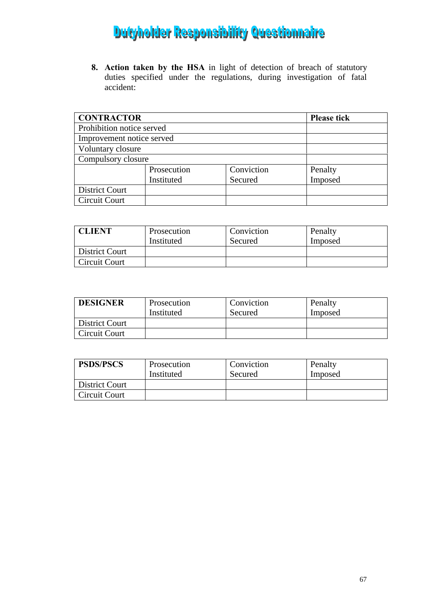# **Dutyholder Responsibility Questionnaire**

**8. Action taken by the HSA** in light of detection of breach of statutory duties specified under the regulations, during investigation of fatal accident:

| <b>CONTRACTOR</b>         | <b>Please tick</b> |            |         |
|---------------------------|--------------------|------------|---------|
| Prohibition notice served |                    |            |         |
| Improvement notice served |                    |            |         |
| Voluntary closure         |                    |            |         |
| Compulsory closure        |                    |            |         |
|                           | Prosecution        | Conviction | Penalty |
|                           | Instituted         | Secured    | Imposed |
| <b>District Court</b>     |                    |            |         |
| Circuit Court             |                    |            |         |

| <b>CLIENT</b>  | Prosecution | Conviction | Penalty |
|----------------|-------------|------------|---------|
|                | Instituted  | Secured    | Imposed |
| District Court |             |            |         |
| Circuit Court  |             |            |         |

| <b>DESIGNER</b> | Prosecution | Conviction | Penalty |
|-----------------|-------------|------------|---------|
|                 | Instituted  | Secured    | Imposed |
| District Court  |             |            |         |
| Circuit Court   |             |            |         |

| <b>PSDS/PSCS</b> | Prosecution<br>Instituted | Conviction | Penalty |
|------------------|---------------------------|------------|---------|
|                  |                           | Secured    | Imposed |
| District Court   |                           |            |         |
| Circuit Court    |                           |            |         |